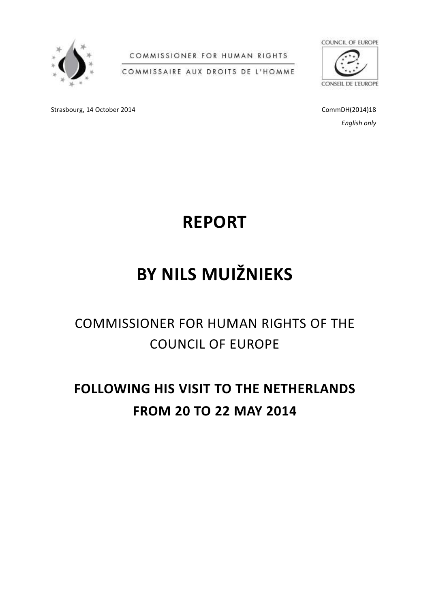

COMMISSIONER FOR HUMAN RIGHTS

COMMISSAIRE AUX DROITS DE L'HOMME



CONSEIL DE L'EUROPE

Strasbourg, 14 October 2014 **CommDH(2014)18** CommDH(2014)18

*English only*



# **BY NILS MUIŽNIEKS**

## COMMISSIONER FOR HUMAN RIGHTS OF THE COUNCIL OF EUROPE

## **FOLLOWING HIS VISIT TO THE NETHERLANDS FROM 20 TO 22 MAY 2014**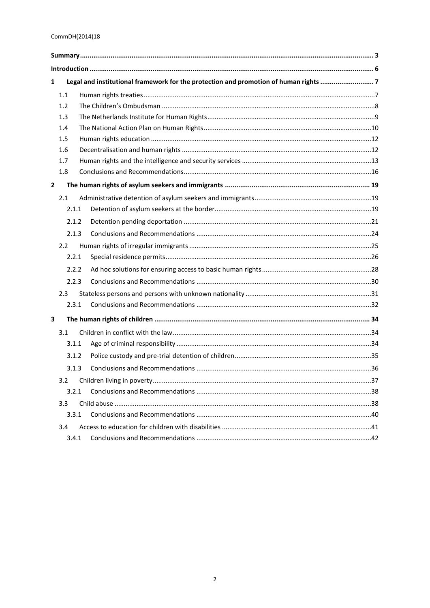| Legal and institutional framework for the protection and promotion of human rights 7<br>1 |       |  |  |  |
|-------------------------------------------------------------------------------------------|-------|--|--|--|
|                                                                                           | 1.1   |  |  |  |
|                                                                                           | 1.2   |  |  |  |
|                                                                                           | 1.3   |  |  |  |
|                                                                                           | 1.4   |  |  |  |
|                                                                                           | 1.5   |  |  |  |
|                                                                                           | 1.6   |  |  |  |
|                                                                                           | 1.7   |  |  |  |
|                                                                                           | 1.8   |  |  |  |
| $\mathbf{2}$                                                                              |       |  |  |  |
|                                                                                           | 2.1   |  |  |  |
|                                                                                           | 2.1.1 |  |  |  |
|                                                                                           | 2.1.2 |  |  |  |
|                                                                                           | 2.1.3 |  |  |  |
|                                                                                           | 2.2   |  |  |  |
|                                                                                           | 2.2.1 |  |  |  |
|                                                                                           | 2.2.2 |  |  |  |
|                                                                                           | 2.2.3 |  |  |  |
|                                                                                           | 2.3   |  |  |  |
|                                                                                           | 2.3.1 |  |  |  |
| 3                                                                                         |       |  |  |  |
|                                                                                           | 3.1   |  |  |  |
|                                                                                           | 3.1.1 |  |  |  |
|                                                                                           | 3.1.2 |  |  |  |
|                                                                                           | 3.1.3 |  |  |  |
|                                                                                           | 3.2   |  |  |  |
|                                                                                           | 3.2.1 |  |  |  |
|                                                                                           | 3.3   |  |  |  |
|                                                                                           | 3.3.1 |  |  |  |
|                                                                                           | 3.4   |  |  |  |
|                                                                                           | 3.4.1 |  |  |  |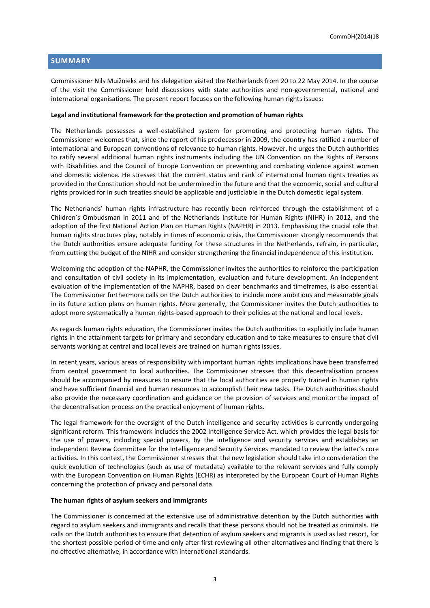#### <span id="page-2-0"></span>**SUMMARY**

Commissioner Nils Muižnieks and his delegation visited the Netherlands from 20 to 22 May 2014. In the course of the visit the Commissioner held discussions with state authorities and non-governmental, national and international organisations. The present report focuses on the following human rights issues:

#### **Legal and institutional framework for the protection and promotion of human rights**

The Netherlands possesses a well-established system for promoting and protecting human rights. The Commissioner welcomes that, since the report of his predecessor in 2009, the country has ratified a number of international and European conventions of relevance to human rights. However, he urges the Dutch authorities to ratify several additional human rights instruments including the UN Convention on the Rights of Persons with Disabilities and the Council of Europe Convention on preventing and combating violence against women and domestic violence. He stresses that the current status and rank of international human rights treaties as provided in the Constitution should not be undermined in the future and that the economic, social and cultural rights provided for in such treaties should be applicable and justiciable in the Dutch domestic legal system.

The Netherlands' human rights infrastructure has recently been reinforced through the establishment of a Children's Ombudsman in 2011 and of the Netherlands Institute for Human Rights (NIHR) in 2012, and the adoption of the first National Action Plan on Human Rights (NAPHR) in 2013. Emphasising the crucial role that human rights structures play, notably in times of economic crisis, the Commissioner strongly recommends that the Dutch authorities ensure adequate funding for these structures in the Netherlands, refrain, in particular, from cutting the budget of the NIHR and consider strengthening the financial independence of this institution.

Welcoming the adoption of the NAPHR, the Commissioner invites the authorities to reinforce the participation and consultation of civil society in its implementation, evaluation and future development. An independent evaluation of the implementation of the NAPHR, based on clear benchmarks and timeframes, is also essential. The Commissioner furthermore calls on the Dutch authorities to include more ambitious and measurable goals in its future action plans on human rights. More generally, the Commissioner invites the Dutch authorities to adopt more systematically a human rights-based approach to their policies at the national and local levels.

As regards human rights education, the Commissioner invites the Dutch authorities to explicitly include human rights in the attainment targets for primary and secondary education and to take measures to ensure that civil servants working at central and local levels are trained on human rights issues.

In recent years, various areas of responsibility with important human rights implications have been transferred from central government to local authorities. The Commissioner stresses that this decentralisation process should be accompanied by measures to ensure that the local authorities are properly trained in human rights and have sufficient financial and human resources to accomplish their new tasks. The Dutch authorities should also provide the necessary coordination and guidance on the provision of services and monitor the impact of the decentralisation process on the practical enjoyment of human rights.

The legal framework for the oversight of the Dutch intelligence and security activities is currently undergoing significant reform. This framework includes the 2002 Intelligence Service Act, which provides the legal basis for the use of powers, including special powers, by the intelligence and security services and establishes an independent Review Committee for the Intelligence and Security Services mandated to review the latter's core activities. In this context, the Commissioner stresses that the new legislation should take into consideration the quick evolution of technologies (such as use of metadata) available to the relevant services and fully comply with the European Convention on Human Rights (ECHR) as interpreted by the European Court of Human Rights concerning the protection of privacy and personal data.

#### **The human rights of asylum seekers and immigrants**

The Commissioner is concerned at the extensive use of administrative detention by the Dutch authorities with regard to asylum seekers and immigrants and recalls that these persons should not be treated as criminals. He calls on the Dutch authorities to ensure that detention of asylum seekers and migrants is used as last resort, for the shortest possible period of time and only after first reviewing all other alternatives and finding that there is no effective alternative, in accordance with international standards.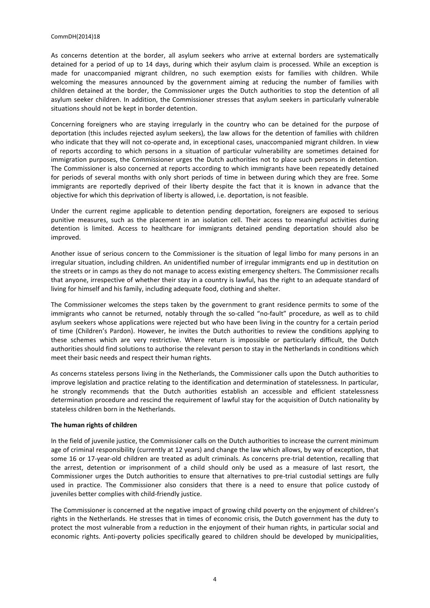#### CommDH(2014)18

As concerns detention at the border, all asylum seekers who arrive at external borders are systematically detained for a period of up to 14 days, during which their asylum claim is processed. While an exception is made for unaccompanied migrant children, no such exemption exists for families with children. While welcoming the measures announced by the government aiming at reducing the number of families with children detained at the border, the Commissioner urges the Dutch authorities to stop the detention of all asylum seeker children. In addition, the Commissioner stresses that asylum seekers in particularly vulnerable situations should not be kept in border detention.

Concerning foreigners who are staying irregularly in the country who can be detained for the purpose of deportation (this includes rejected asylum seekers), the law allows for the detention of families with children who indicate that they will not co-operate and, in exceptional cases, unaccompanied migrant children. In view of reports according to which persons in a situation of particular vulnerability are sometimes detained for immigration purposes, the Commissioner urges the Dutch authorities not to place such persons in detention. The Commissioner is also concerned at reports according to which immigrants have been repeatedly detained for periods of several months with only short periods of time in between during which they are free. Some immigrants are reportedly deprived of their liberty despite the fact that it is known in advance that the objective for which this deprivation of liberty is allowed, i.e. deportation, is not feasible.

Under the current regime applicable to detention pending deportation, foreigners are exposed to serious punitive measures, such as the placement in an isolation cell. Their access to meaningful activities during detention is limited. Access to healthcare for immigrants detained pending deportation should also be improved.

Another issue of serious concern to the Commissioner is the situation of legal limbo for many persons in an irregular situation, including children. An unidentified number of irregular immigrants end up in destitution on the streets or in camps as they do not manage to access existing emergency shelters. The Commissioner recalls that anyone, irrespective of whether their stay in a country is lawful, has the right to an adequate standard of living for himself and his family, including adequate food, clothing and shelter.

The Commissioner welcomes the steps taken by the government to grant residence permits to some of the immigrants who cannot be returned, notably through the so-called "no-fault" procedure, as well as to child asylum seekers whose applications were rejected but who have been living in the country for a certain period of time (Children's Pardon). However, he invites the Dutch authorities to review the conditions applying to these schemes which are very restrictive. Where return is impossible or particularly difficult, the Dutch authorities should find solutions to authorise the relevant person to stay in the Netherlands in conditions which meet their basic needs and respect their human rights.

As concerns stateless persons living in the Netherlands, the Commissioner calls upon the Dutch authorities to improve legislation and practice relating to the identification and determination of statelessness. In particular, he strongly recommends that the Dutch authorities establish an accessible and efficient statelessness determination procedure and rescind the requirement of lawful stay for the acquisition of Dutch nationality by stateless children born in the Netherlands.

#### **The human rights of children**

In the field of juvenile justice, the Commissioner calls on the Dutch authorities to increase the current minimum age of criminal responsibility (currently at 12 years) and change the law which allows, by way of exception, that some 16 or 17-year-old children are treated as adult criminals. As concerns pre-trial detention, recalling that the arrest, detention or imprisonment of a child should only be used as a measure of last resort, the Commissioner urges the Dutch authorities to ensure that alternatives to pre-trial custodial settings are fully used in practice. The Commissioner also considers that there is a need to ensure that police custody of juveniles better complies with child-friendly justice.

The Commissioner is concerned at the negative impact of growing child poverty on the enjoyment of children's rights in the Netherlands. He stresses that in times of economic crisis, the Dutch government has the duty to protect the most vulnerable from a reduction in the enjoyment of their human rights, in particular social and economic rights. Anti-poverty policies specifically geared to children should be developed by municipalities,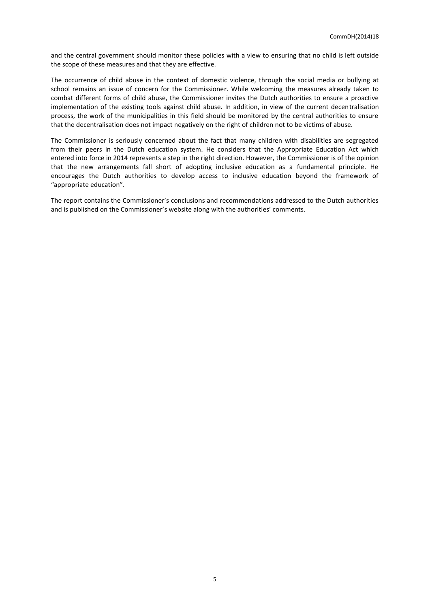and the central government should monitor these policies with a view to ensuring that no child is left outside the scope of these measures and that they are effective.

The occurrence of child abuse in the context of domestic violence, through the social media or bullying at school remains an issue of concern for the Commissioner. While welcoming the measures already taken to combat different forms of child abuse, the Commissioner invites the Dutch authorities to ensure a proactive implementation of the existing tools against child abuse. In addition, in view of the current decentralisation process, the work of the municipalities in this field should be monitored by the central authorities to ensure that the decentralisation does not impact negatively on the right of children not to be victims of abuse.

The Commissioner is seriously concerned about the fact that many children with disabilities are segregated from their peers in the Dutch education system. He considers that the Appropriate Education Act which entered into force in 2014 represents a step in the right direction. However, the Commissioner is of the opinion that the new arrangements fall short of adopting inclusive education as a fundamental principle. He encourages the Dutch authorities to develop access to inclusive education beyond the framework of "appropriate education".

The report contains the Commissioner's conclusions and recommendations addressed to the Dutch authorities and is published on the Commissioner's website along with the authorities' comments.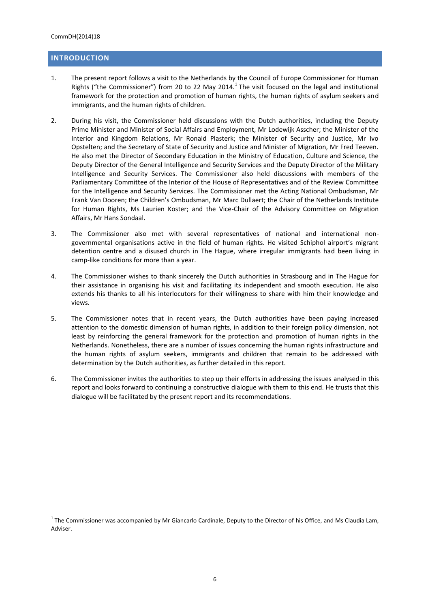## <span id="page-5-0"></span>**INTRODUCTION**

- 1. The present report follows a visit to the Netherlands by the Council of Europe Commissioner for Human Rights ("the Commissioner") from 20 to 22 May 2014.<sup>1</sup> The visit focused on the legal and institutional framework for the protection and promotion of human rights, the human rights of asylum seekers and immigrants, and the human rights of children.
- 2. During his visit, the Commissioner held discussions with the Dutch authorities, including the Deputy Prime Minister and Minister of Social Affairs and Employment, Mr Lodewijk Asscher; the Minister of the Interior and Kingdom Relations, Mr Ronald Plasterk; the Minister of Security and Justice, Mr Ivo Opstelten; and the Secretary of State of Security and Justice and Minister of Migration, Mr Fred Teeven. He also met the Director of Secondary Education in the Ministry of Education, Culture and Science, the Deputy Director of the General Intelligence and Security Services and the Deputy Director of the Military Intelligence and Security Services. The Commissioner also held discussions with members of the Parliamentary Committee of the Interior of the House of Representatives and of the Review Committee for the Intelligence and Security Services. The Commissioner met the Acting National Ombudsman, Mr Frank Van Dooren; the Children's Ombudsman, Mr Marc Dullaert; the Chair of the Netherlands Institute for Human Rights, Ms Laurien Koster; and the Vice-Chair of the Advisory Committee on Migration Affairs, Mr Hans Sondaal.
- 3. The Commissioner also met with several representatives of national and international nongovernmental organisations active in the field of human rights. He visited Schiphol airport's migrant detention centre and a disused church in The Hague, where irregular immigrants had been living in camp-like conditions for more than a year.
- 4. The Commissioner wishes to thank sincerely the Dutch authorities in Strasbourg and in The Hague for their assistance in organising his visit and facilitating its independent and smooth execution. He also extends his thanks to all his interlocutors for their willingness to share with him their knowledge and views.
- 5. The Commissioner notes that in recent years, the Dutch authorities have been paying increased attention to the domestic dimension of human rights, in addition to their foreign policy dimension, not least by reinforcing the general framework for the protection and promotion of human rights in the Netherlands. Nonetheless, there are a number of issues concerning the human rights infrastructure and the human rights of asylum seekers, immigrants and children that remain to be addressed with determination by the Dutch authorities, as further detailed in this report.
- 6. The Commissioner invites the authorities to step up their efforts in addressing the issues analysed in this report and looks forward to continuing a constructive dialogue with them to this end. He trusts that this dialogue will be facilitated by the present report and its recommendations.

 $^1$  The Commissioner was accompanied by Mr Giancarlo Cardinale, Deputy to the Director of his Office, and Ms Claudia Lam, Adviser.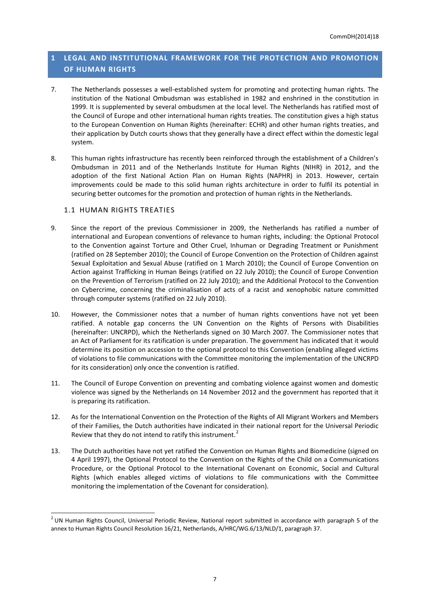## <span id="page-6-0"></span>**1 LEGAL AND INSTITUTIONAL FRAMEWORK FOR THE PROTECTION AND PROMOTION OF HUMAN RIGHTS**

- 7. The Netherlands possesses a well-established system for promoting and protecting human rights. The institution of the National Ombudsman was established in 1982 and enshrined in the constitution in 1999. It is supplemented by several ombudsmen at the local level. The Netherlands has ratified most of the Council of Europe and other international human rights treaties. The constitution gives a high status to the European Convention on Human Rights (hereinafter: ECHR) and other human rights treaties, and their application by Dutch courts shows that they generally have a direct effect within the domestic legal system.
- 8. This human rights infrastructure has recently been reinforced through the establishment of a Children's Ombudsman in 2011 and of the Netherlands Institute for Human Rights (NIHR) in 2012, and the adoption of the first National Action Plan on Human Rights (NAPHR) in 2013. However, certain improvements could be made to this solid human rights architecture in order to fulfil its potential in securing better outcomes for the promotion and protection of human rights in the Netherlands.

## <span id="page-6-1"></span>1.1 HUMAN RIGHTS TREATIES

- 9. Since the report of the previous Commissioner in 2009, the Netherlands has ratified a number of international and European conventions of relevance to human rights, including: the Optional Protocol to the Convention against Torture and Other Cruel, Inhuman or Degrading Treatment or Punishment (ratified on 28 September 2010); the Council of Europe Convention on the Protection of Children against Sexual Exploitation and Sexual Abuse (ratified on 1 March 2010); the Council of Europe Convention on Action against Trafficking in Human Beings (ratified on 22 July 2010); the Council of Europe Convention on the Prevention of Terrorism (ratified on 22 July 2010); and the Additional Protocol to the Convention on Cybercrime, concerning the criminalisation of acts of a racist and xenophobic nature committed through computer systems (ratified on 22 July 2010).
- 10. However, the Commissioner notes that a number of human rights conventions have not yet been ratified. A notable gap concerns the UN Convention on the Rights of Persons with Disabilities (hereinafter: UNCRPD), which the Netherlands signed on 30 March 2007. The Commissioner notes that an Act of Parliament for its ratification is under preparation. The government has indicated that it would determine its position on accession to the optional protocol to this Convention (enabling alleged victims of violations to file communications with the Committee monitoring the implementation of the UNCRPD for its consideration) only once the convention is ratified.
- 11. The Council of Europe Convention on preventing and combating violence against women and domestic violence was signed by the Netherlands on 14 November 2012 and the government has reported that it is preparing its ratification.
- 12. As for the International Convention on the Protection of the Rights of All Migrant Workers and Members of their Families, the Dutch authorities have indicated in their national report for the Universal Periodic Review that they do not intend to ratify this instrument.<sup>2</sup>
- 13. The Dutch authorities have not yet ratified the Convention on Human Rights and Biomedicine (signed on 4 April 1997), the Optional Protocol to the Convention on the Rights of the Child on a Communications Procedure, or the Optional Protocol to the International Covenant on Economic, Social and Cultural Rights (which enables alleged victims of violations to file communications with the Committee monitoring the implementation of the Covenant for consideration).

 $^2$  UN Human Rights Council, Universal Periodic Review, National report submitted in accordance with paragraph 5 of the annex to Human Rights Council Resolution 16/21, Netherlands, A/HRC/WG.6/13/NLD/1, paragraph 37.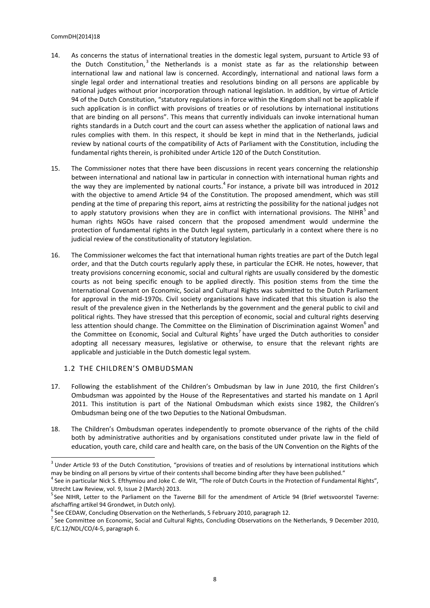#### CommDH(2014)18

- 14. As concerns the status of international treaties in the domestic legal system, pursuant to Article 93 of the Dutch Constitution,<sup>3</sup> the Netherlands is a monist state as far as the relationship between international law and national law is concerned. Accordingly, international and national laws form a single legal order and international treaties and resolutions binding on all persons are applicable by national judges without prior incorporation through national legislation. In addition, by virtue of Article 94 of the Dutch Constitution, "statutory regulations in force within the Kingdom shall not be applicable if such application is in conflict with provisions of treaties or of resolutions by international institutions that are binding on all persons". This means that currently individuals can invoke international human rights standards in a Dutch court and the court can assess whether the application of national laws and rules complies with them. In this respect, it should be kept in mind that in the Netherlands, judicial review by national courts of the compatibility of Acts of Parliament with the Constitution, including the fundamental rights therein, is prohibited under Article 120 of the Dutch Constitution.
- 15. The Commissioner notes that there have been discussions in recent years concerning the relationship between international and national law in particular in connection with international human rights and the way they are implemented by national courts.<sup>4</sup> For instance, a private bill was introduced in 2012 with the objective to amend Article 94 of the Constitution. The proposed amendment, which was still pending at the time of preparing this report, aims at restricting the possibility for the national judges not to apply statutory provisions when they are in conflict with international provisions. The NIHR<sup>5</sup> and human rights NGOs have raised concern that the proposed amendment would undermine the protection of fundamental rights in the Dutch legal system, particularly in a context where there is no judicial review of the constitutionality of statutory legislation.
- 16. The Commissioner welcomes the fact that international human rights treaties are part of the Dutch legal order, and that the Dutch courts regularly apply these, in particular the ECHR. He notes, however, that treaty provisions concerning economic, social and cultural rights are usually considered by the domestic courts as not being specific enough to be applied directly. This position stems from the time the International Covenant on Economic, Social and Cultural Rights was submitted to the Dutch Parliament for approval in the mid-1970s. Civil society organisations have indicated that this situation is also the result of the prevalence given in the Netherlands by the government and the general public to civil and political rights. They have stressed that this perception of economic, social and cultural rights deserving less attention should change. The Committee on the Elimination of Discrimination against Women<sup>6</sup> and the Committee on Economic, Social and Cultural Rights<sup>7</sup> have urged the Dutch authorities to consider adopting all necessary measures, legislative or otherwise, to ensure that the relevant rights are applicable and justiciable in the Dutch domestic legal system.

## <span id="page-7-0"></span>1.2 THE CHILDREN'S OMBUDSMAN

- 17. Following the establishment of the Children's Ombudsman by law in June 2010, the first Children's Ombudsman was appointed by the House of the Representatives and started his mandate on 1 April 2011. This institution is part of the National Ombudsman which exists since 1982, the Children's Ombudsman being one of the two Deputies to the National Ombudsman.
- 18. The Children's Ombudsman operates independently to promote observance of the rights of the child both by administrative authorities and by organisations constituted under private law in the field of education, youth care, child care and health care, on the basis of the UN Convention on the Rights of the

 $3$  Under Article 93 of the Dutch Constitution, "provisions of treaties and of resolutions by international institutions which may be binding on all persons by virtue of their contents shall become binding after they have been published."

<sup>&</sup>lt;sup>4</sup> See in particular Nick S. Efthymiou and Joke C. de Wit, "The role of Dutch Courts in the Protection of Fundamental Rights", Utrecht Law Review, vol. 9, Issue 2 (March) 2013.

<sup>&</sup>lt;sup>5</sup> See NIHR, Letter to the Parliament on the Taverne Bill for the amendment of Article 94 (Brief wetsvoorstel Taverne: afschaffing artikel 94 Grondwet, in Dutch only).

 $^6$  See CEDAW, Concluding Observation on the Netherlands, 5 February 2010, paragraph 12.

 $^7$  See Committee on Economic, Social and Cultural Rights, Concluding Observations on the Netherlands, 9 December 2010, E/C.12/NDL/CO/4-5, paragraph 6.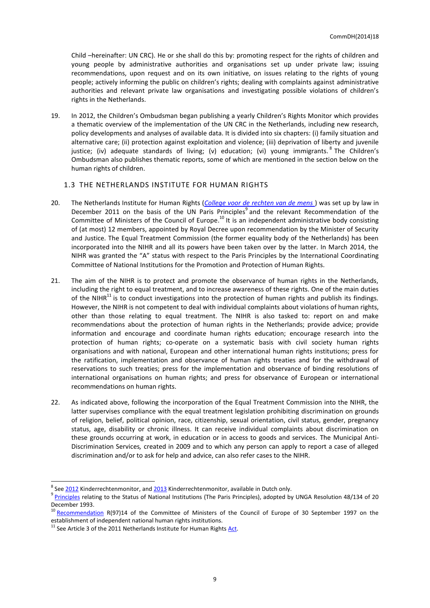Child –hereinafter: UN CRC). He or she shall do this by: promoting respect for the rights of children and young people by administrative authorities and organisations set up under private law; issuing recommendations, upon request and on its own initiative, on issues relating to the rights of young people; actively informing the public on children's rights; dealing with complaints against administrative authorities and relevant private law organisations and investigating possible violations of children's rights in the Netherlands.

19. In 2012, the Children's Ombudsman began publishing a yearly Children's Rights Monitor which provides a thematic overview of the implementation of the UN CRC in the Netherlands, including new research, policy developments and analyses of available data. It is divided into six chapters: (i) family situation and alternative care; (ii) protection against exploitation and violence; (iii) deprivation of liberty and juvenile justice; (iv) adequate standards of living; (v) education; (vi) young immigrants. <sup>8</sup> The Children's Ombudsman also publishes thematic reports, some of which are mentioned in the section below on the human rights of children.

#### <span id="page-8-0"></span>1.3 THE NETHERLANDS INSTITUTE FOR HUMAN RIGHTS

- 20. The Netherlands Institute for Human Rights (*[College voor de rechten van de mens](http://www.mensenrechten.nl/)* ) was set up by law in December 2011 on the basis of the UN Paris Principles<sup>9</sup> and the relevant Recommendation of the Committee of Ministers of the Council of Europe.<sup>10</sup> It is an independent administrative body consisting of (at most) 12 members, appointed by Royal Decree upon recommendation by the Minister of Security and Justice. The Equal Treatment Commission (the former equality body of the Netherlands) has been incorporated into the NIHR and all its powers have been taken over by the latter. In March 2014, the NIHR was granted the "A" status with respect to the Paris Principles by the International Coordinating Committee of National Institutions for the Promotion and Protection of Human Rights.
- 21. The aim of the NIHR is to protect and promote the observance of human rights in the Netherlands, including the right to equal treatment, and to increase awareness of these rights. One of the main duties of the NIHR $^{11}$  is to conduct investigations into the protection of human rights and publish its findings. However, the NIHR is not competent to deal with individual complaints about violations of human rights, other than those relating to equal treatment. The NIHR is also tasked to: report on and make recommendations about the protection of human rights in the Netherlands; provide advice; provide information and encourage and coordinate human rights education; encourage research into the protection of human rights; co-operate on a systematic basis with civil society human rights organisations and with national, European and other international human rights institutions; press for the ratification, implementation and observance of human rights treaties and for the withdrawal of reservations to such treaties; press for the implementation and observance of binding resolutions of international organisations on human rights; and press for observance of European or international recommendations on human rights.
- 22. As indicated above, following the incorporation of the Equal Treatment Commission into the NIHR, the latter supervises compliance with the equal treatment legislation prohibiting discrimination on grounds of religion, belief, political opinion, race, citizenship, sexual orientation, civil status, gender, pregnancy status, age, disability or chronic illness. It can receive individual complaints about discrimination on these grounds occurring at work, in education or in access to goods and services. The Municipal Anti-Discrimination Services*,* created in 2009 and to which any person can apply to report a case of alleged discrimination and/or to ask for help and advice, can also refer cases to the NIHR.

 $^8$  See <u>2012</u> Kinderrechtenmonitor, and <u>2013</u> Kinderrechtenmonitor, available in Dutch only.

<sup>&</sup>lt;sup>9</sup> [Principles](http://www.ohchr.org/EN/ProfessionalInterest/Pages/StatusOfNationalInstitutions.aspx) relating to the Status of National Institutions (The Paris Principles), adopted by UNGA Resolution 48/134 of 20 December 1993.

<sup>&</sup>lt;sup>10</sup> [Recommendation](https://wcd.coe.int/com.instranet.InstraServlet?command=com.instranet.CmdBlobGet&%20InstranetImage=567349%20%20&SecMode=1&DocId=578706&Usage=2) R(97)14 of the Committee of Ministers of the Council of Europe of 30 September 1997 on the establishment of independent national human rights institutions.

 $11$  See Article 3 of the 2011 Netherlands Institute for Human Rights  $\frac{\text{Act}}{\text{Act}}$ .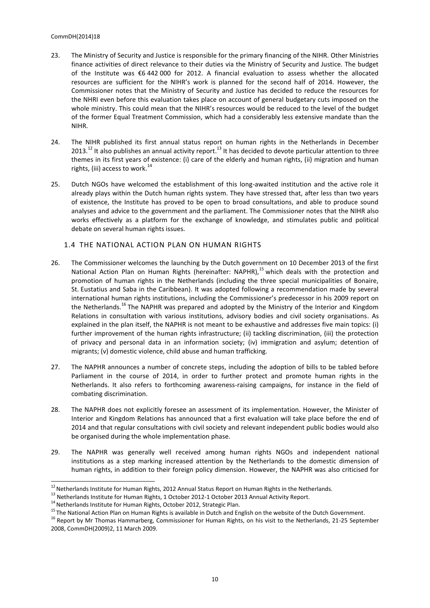#### CommDH(2014)18

- 23. The Ministry of Security and Justice is responsible for the primary financing of the NIHR. Other Ministries finance activities of direct relevance to their duties via the Ministry of Security and Justice. The budget of the Institute was €6 442 000 for 2012. A financial evaluation to assess whether the allocated resources are sufficient for the NIHR's work is planned for the second half of 2014. However, the Commissioner notes that the Ministry of Security and Justice has decided to reduce the resources for the NHRI even before this evaluation takes place on account of general budgetary cuts imposed on the whole ministry. This could mean that the NIHR's resources would be reduced to the level of the budget of the former Equal Treatment Commission, which had a considerably less extensive mandate than the NIHR.
- 24. The NIHR published its first annual status report on human rights in the Netherlands in December 2013.<sup>12</sup> It also publishes an annual activity report.<sup>13</sup> It has decided to devote particular attention to three themes in its first years of existence: (i) care of the elderly and human rights, (ii) migration and human rights, (iii) access to work.<sup>14</sup>
- 25. Dutch NGOs have welcomed the establishment of this long-awaited institution and the active role it already plays within the Dutch human rights system. They have stressed that, after less than two years of existence, the Institute has proved to be open to broad consultations, and able to produce sound analyses and advice to the government and the parliament. The Commissioner notes that the NIHR also works effectively as a platform for the exchange of knowledge, and stimulates public and political debate on several human rights issues.

## <span id="page-9-0"></span>1.4 THE NATIONAL ACTION PLAN ON HUMAN RIGHTS

- 26. The Commissioner welcomes the launching by the Dutch government on 10 December 2013 of the first National Action Plan on Human Rights (hereinafter: NAPHR),<sup>15</sup> which deals with the protection and promotion of human rights in the Netherlands (including the three special municipalities of Bonaire, St. Eustatius and Saba in the Caribbean). It was adopted following a recommendation made by several international human rights institutions, including the Commissioner's predecessor in his 2009 report on the Netherlands.<sup>16</sup> The NAPHR was prepared and adopted by the Ministry of the Interior and Kingdom Relations in consultation with various institutions, advisory bodies and civil society organisations. As explained in the plan itself, the NAPHR is not meant to be exhaustive and addresses five main topics: (i) further improvement of the human rights infrastructure; (ii) tackling discrimination, (iii) the protection of privacy and personal data in an information society; (iv) immigration and asylum; detention of migrants; (v) domestic violence, child abuse and human trafficking.
- 27. The NAPHR announces a number of concrete steps, including the adoption of bills to be tabled before Parliament in the course of 2014, in order to further protect and promote human rights in the Netherlands. It also refers to forthcoming awareness-raising campaigns, for instance in the field of combating discrimination.
- 28. The NAPHR does not explicitly foresee an assessment of its implementation. However, the Minister of Interior and Kingdom Relations has announced that a first evaluation will take place before the end of 2014 and that regular consultations with civil society and relevant independent public bodies would also be organised during the whole implementation phase.
- 29. The NAPHR was generally well received among human rights NGOs and independent national institutions as a step marking increased attention by the Netherlands to the domestic dimension of human rights, in addition to their foreign policy dimension. However, the NAPHR was also criticised for

 $^{12}$  Netherlands Institute for Human Rights, 2012 Annual Status [Report](https://mensenrechten.nl/publicaties/detail/18903) on Human Rights in the Netherlands.

<sup>&</sup>lt;sup>13</sup> Netherlands Institute for Human Rights, 1 October 2012-1 October 2013 Annual Activity [Report.](https://mensenrechten.nl/publicaties/detail/18902)

 $^{14}$  Netherlands Institute for Human Rights, October 2012[, Strategic Plan.](file:///C:/Users/lam_c/AppData/Local/Microsoft/Windows/Temporary%20Internet%20Files/Content.Outlook/7X6FF41X/Netherlands%20Institute%20for%20Human%20Rights,%201%20October%202012-1%20October%202013%20Annual%20Activity%20Report)

<sup>&</sup>lt;sup>15</sup> Th[e National Action Plan on Human Rights](http://www.government.nl/government/documents-and-publications/notes/2014/03/19/national-action-plan-on-human-rights.html) is available in Dutch and English on the website of the Dutch Government.

<sup>&</sup>lt;sup>16</sup> [Report](https://wcd.coe.int/ViewDoc.jsp?id=1417061) by Mr Thomas Hammarberg, Commissioner for Human Rights, on his visit to the Netherlands, 21-25 September 2008, CommDH(2009)2, 11 March 2009.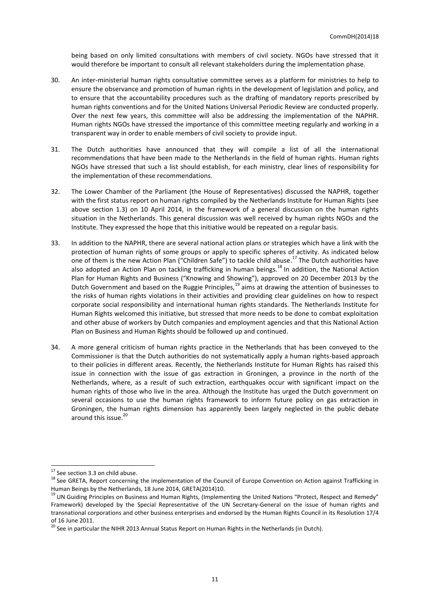being based on only limited consultations with members of civil society. NGOs have stressed that it would therefore be important to consult all relevant stakeholders during the implementation phase.

- 30. An inter-ministerial human rights consultative committee serves as a platform for ministries to help to ensure the observance and promotion of human rights in the development of legislation and policy, and to ensure that the accountability procedures such as the drafting of mandatory reports prescribed by human rights conventions and for the United Nations Universal Periodic Review are conducted properly. Over the next few years, this committee will also be addressing the implementation of the NAPHR. Human rights NGOs have stressed the importance of this committee meeting regularly and working in a transparent way in order to enable members of civil society to provide input.
- 31. The Dutch authorities have announced that they will compile a list of all the international recommendations that have been made to the Netherlands in the field of human rights. Human rights NGOs have stressed that such a list should establish, for each ministry, clear lines of responsibility for the implementation of these recommendations.
- 32. The Lower Chamber of the Parliament (the House of Representatives) discussed the NAPHR, together with the first status report on human rights compiled by the Netherlands Institute for Human Rights (see above section 1.3) on 10 April 2014, in the framework of a general discussion on the human rights situation in the Netherlands. This general discussion was well received by human rights NGOs and the Institute. They expressed the hope that this initiative would be repeated on a regular basis.
- 33. In addition to the NAPHR, there are several national action plans or strategies which have a link with the protection of human rights of some groups or apply to specific spheres of activity. As indicated below one of them is the new Action Plan ("Children Safe") to tackle child abuse.<sup>17</sup> The Dutch authorities have also adopted an Action Plan on tackling trafficking in human beings.<sup>18</sup> In addition, the National Action Plan for Human Rights and Business ("Knowing and Showing"), approved on 20 December 2013 by the Dutch Government and based on the Ruggie Principles,<sup>19</sup> aims at drawing the attention of businesses to the risks of human rights violations in their activities and providing clear guidelines on how to respect corporate social responsibility and international human rights standards. The Netherlands Institute for Human Rights welcomed this initiative, but stressed that more needs to be done to combat exploitation and other abuse of workers by Dutch companies and employment agencies and that this National Action Plan on Business and Human Rights should be followed up and continued.
- 34. A more general criticism of human rights practice in the Netherlands that has been conveyed to the Commissioner is that the Dutch authorities do not systematically apply a human rights-based approach to their policies in different areas. Recently, the Netherlands Institute for Human Rights has raised this issue in connection with the issue of gas extraction in Groningen, a province in the north of the Netherlands, where, as a result of such extraction, earthquakes occur with significant impact on the human rights of those who live in the area. Although the Institute has urged the Dutch government on several occasions to use the human rights framework to inform future policy on gas extraction in Groningen, the human rights dimension has apparently been largely neglected in the public debate around this issue. 20

<sup>&</sup>lt;sup>17</sup> See section 3.3 on child abuse.

<sup>&</sup>lt;sup>18</sup> See GRETA, [Report](http://www.coe.int/t/dghl/monitoring/trafficking/Docs/Reports/GRETA_2014_10_FGR_NLD_w_cmnts_en.pdf) concerning the implementation of the Council of Europe Convention on Action against Trafficking in Human Beings by the Netherlands, 18 June 2014, GRETA(2014)10.

<sup>&</sup>lt;sup>19</sup> UN Guiding [Principles](http://www.ohchr.org/Documents/Publications/GuidingPrinciplesBusinessHR_EN.pdf) on Business and Human Rights, (Implementing the United Nations "Protect, Respect and Remedy" Framework) developed by the Special Representative of the UN Secretary-General on the issue of human rights and transnational corporations and other business enterprises and endorsed by the Human Rights Council in its Resolution 17/4 of 16 June 2011.

<sup>&</sup>lt;sup>20</sup> See in particular the NIHR 2013 Annual Statu[s Report](http://mensenrechten.nl/sites/default/files/3904.1008%20Jaarrapportage%202013_web4b.pdf) on Human Rights in the Netherlands (in Dutch).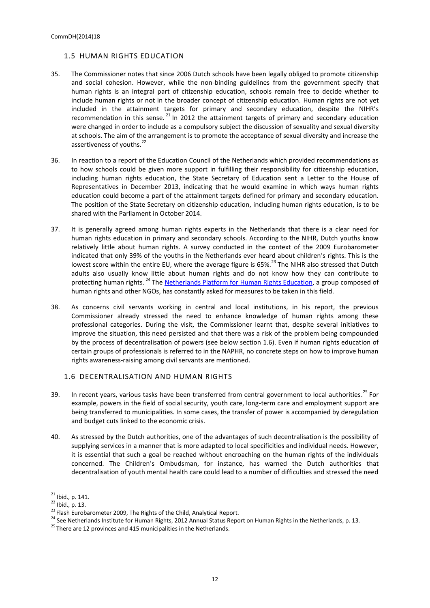### <span id="page-11-0"></span>1.5 HUMAN RIGHTS EDUCATION

- 35. The Commissioner notes that since 2006 Dutch schools have been legally obliged to promote citizenship and social cohesion. However, while the non-binding guidelines from the government specify that human rights is an integral part of citizenship education, schools remain free to decide whether to include human rights or not in the broader concept of citizenship education. Human rights are not yet included in the attainment targets for primary and secondary education, despite the NIHR's recommendation in this sense.  $^{21}$  In 2012 the attainment targets of primary and secondary education were changed in order to include as a compulsory subject the discussion of sexuality and sexual diversity at schools. The aim of the arrangement is to promote the acceptance of sexual diversity and increase the assertiveness of youths.<sup>22</sup>
- 36. In reaction to a report of the Education Council of the Netherlands which provided recommendations as to how schools could be given more support in fulfilling their responsibility for citizenship education, including human rights education, the State Secretary of Education sent a Letter to the House of Representatives in December 2013, indicating that he would examine in which ways human rights education could become a part of the attainment targets defined for primary and secondary education. The position of the State Secretary on citizenship education, including human rights education, is to be shared with the Parliament in October 2014.
- 37. It is generally agreed among human rights experts in the Netherlands that there is a clear need for human rights education in primary and secondary schools. According to the NIHR, Dutch youths know relatively little about human rights. A survey conducted in the context of the 2009 Eurobarometer indicated that only 39% of the youths in the Netherlands ever heard about children's rights. This is the lowest score within the entire EU, where the average figure is 65%.<sup>23</sup> The NIHR also stressed that Dutch adults also usually know little about human rights and do not know how they can contribute to protecting human rights.<sup>24</sup> The [Netherlands Platform for Human Rights Education,](http://www.cmo.nl/pmre/) a group composed of human rights and other NGOs, has constantly asked for measures to be taken in this field.
- 38. As concerns civil servants working in central and local institutions, in his report, the previous Commissioner already stressed the need to enhance knowledge of human rights among these professional categories. During the visit, the Commissioner learnt that, despite several initiatives to improve the situation, this need persisted and that there was a risk of the problem being compounded by the process of decentralisation of powers (see below section 1.6). Even if human rights education of certain groups of professionals is referred to in the NAPHR, no concrete steps on how to improve human rights awareness-raising among civil servants are mentioned.

#### <span id="page-11-1"></span>1.6 DECENTRALISATION AND HUMAN RIGHTS

- 39. In recent years, various tasks have been transferred from central government to local authorities.<sup>25</sup> For example, powers in the field of social security, youth care, long-term care and employment support are being transferred to municipalities. In some cases, the transfer of power is accompanied by deregulation and budget cuts linked to the economic crisis.
- 40. As stressed by the Dutch authorities, one of the advantages of such decentralisation is the possibility of supplying services in a manner that is more adapted to local specificities and individual needs. However, it is essential that such a goal be reached without encroaching on the human rights of the individuals concerned. The Children's Ombudsman, for instance, has warned the Dutch authorities that decentralisation of youth mental health care could lead to a number of difficulties and stressed the need

 $^{21}$  Ibid., p. 141.

<sup>22</sup> Ibid., p. 13.

<sup>&</sup>lt;sup>23</sup> Flash Eurobarometer 2009, The Rights of the Child, Analytical [Report.](http://ec.europa.eu/public_opinion/flash/fl_273_en.pdf)

<sup>&</sup>lt;sup>24</sup> See Netherlands Institute for Human Rights, 2012 Annual Status Report on Human Rights in the Netherlands, p. 13.

 $^{25}$  There are 12 provinces and 415 municipalities in the Netherlands.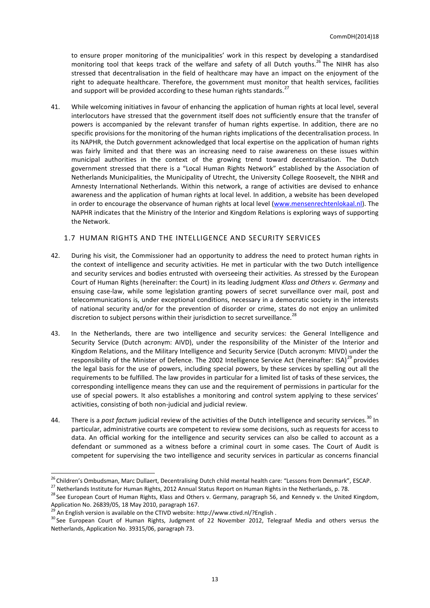to ensure proper monitoring of the municipalities' work in this respect by developing a standardised monitoring tool that keeps track of the welfare and safety of all Dutch youths.<sup>26</sup> The NIHR has also stressed that decentralisation in the field of healthcare may have an impact on the enjoyment of the right to adequate healthcare. Therefore, the government must monitor that health services, facilities and support will be provided according to these human rights standards.<sup>27</sup>

41. While welcoming initiatives in favour of enhancing the application of human rights at local level, several interlocutors have stressed that the government itself does not sufficiently ensure that the transfer of powers is accompanied by the relevant transfer of human rights expertise. In addition, there are no specific provisions for the monitoring of the human rights implications of the decentralisation process. In its NAPHR, the Dutch government acknowledged that local expertise on the application of human rights was fairly limited and that there was an increasing need to raise awareness on these issues within municipal authorities in the context of the growing trend toward decentralisation. The Dutch government stressed that there is a "Local Human Rights Network" established by the Association of Netherlands Municipalities, the Municipality of Utrecht, the University College Roosevelt, the NIHR and Amnesty International Netherlands. Within this network, a range of activities are devised to enhance awareness and the application of human rights at local level. In addition, a website has been developed in order to encourage the observance of human rights at local level [\(www.mensenrechtenlokaal.nl\)](http://www.mensenrechtenlokaal.nl/). The NAPHR indicates that the Ministry of the Interior and Kingdom Relations is exploring ways of supporting the Network.

## <span id="page-12-0"></span>1.7 HUMAN RIGHTS AND THE INTELLIGENCE AND SECURITY SERVICES

- 42. During his visit, the Commissioner had an opportunity to address the need to protect human rights in the context of intelligence and security activities. He met in particular with the two Dutch intelligence and security services and bodies entrusted with overseeing their activities. As stressed by the European Court of Human Rights (hereinafter: the Court) in its leading Judgment *Klass and Others v. Germany* and ensuing case-law, while some legislation granting powers of secret surveillance over mail, post and telecommunications is, under exceptional conditions, necessary in a democratic society in the interests of national security and/or for the prevention of disorder or crime, states do not enjoy an unlimited discretion to subject persons within their jurisdiction to secret surveillance.<sup>28</sup>
- 43. In the Netherlands, there are two intelligence and security services: the General Intelligence and Security Service (Dutch acronym: AIVD), under the responsibility of the Minister of the Interior and Kingdom Relations, and the Military Intelligence and Security Service (Dutch acronym: MIVD) under the responsibility of the Minister of Defence. The 2002 Intelligence Service Act (hereinafter: ISA)<sup>29</sup> provides the legal basis for the use of powers, including special powers, by these services by spelling out all the requirements to be fulfilled. The law provides in particular for a limited list of tasks of these services, the corresponding intelligence means they can use and the requirement of permissions in particular for the use of special powers. It also establishes a monitoring and control system applying to these services' activities, consisting of both non-judicial and judicial review.
- 44. There is a *post factum* judicial review of the activities of the Dutch intelligence and security services.<sup>30</sup> In particular, administrative courts are competent to review some decisions, such as requests for access to data. An official working for the intelligence and security services can also be called to account as a defendant or summoned as a witness before a criminal court in some cases. The Court of Audit is competent for supervising the two intelligence and security services in particular as concerns financial

 $\overline{a}$ <sup>26</sup> Children's Ombudsman, Marc Dullaert, Decentralising Dutch child mental health care: "Lessons from Denmark", [ESCAP.](http://www.escap.eu/policy/marc-dullaert-%E2%80%9Clessons-from-denmark%E2%80%9D/)

<sup>&</sup>lt;sup>27</sup> Netherlands Institute for Human Rights, 2012 Annual Statu[s Report](https://mensenrechten.nl/publicaties/detail/18903) on Human Rights in the Netherlands, p. 78.

<sup>&</sup>lt;sup>28</sup> See European Court of Human Rights, Klass and Others v. Germany, paragraph 56, and Kennedy v. the United Kingdom, Application No. [26839/05,](http://hudoc.echr.coe.int/sites/eng/pages/search.aspx#{"appno":["26839/05"]}) 18 May 2010, paragraph 167.

<sup>&</sup>lt;sup>29</sup> An English version is available on the CTIVD website:<http://www.ctivd.nl/?English>.

<sup>&</sup>lt;sup>30</sup> See European Court of Human Rights, Judgment of 22 November 2012, Telegraaf Media and others versus the [Netherlands,](http://hudoc.echr.coe.int/sites/eng/pages/search.aspx?i=001-114439#{"itemid":["001-114439"]}) Application No. 39315/06, paragraph 73.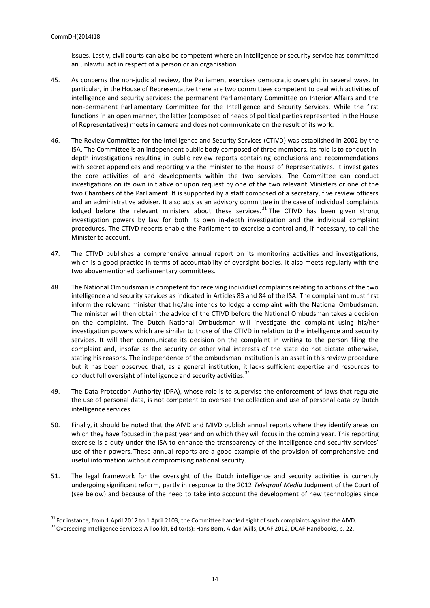issues. Lastly, civil courts can also be competent where an intelligence or security service has committed an unlawful act in respect of a person or an organisation.

- 45. As concerns the non-judicial review, the Parliament exercises democratic oversight in several ways. In particular, in the House of Representative there are two committees competent to deal with activities of intelligence and security services: the permanent Parliamentary Committee on Interior Affairs and the non-permanent Parliamentary Committee for the Intelligence and Security Services. While the first functions in an open manner, the latter (composed of heads of political parties represented in the House of Representatives) meets in camera and does not communicate on the result of its work.
- 46. The Review Committee for the Intelligence and Security Services (CTIVD) was established in 2002 by the ISA. The Committee is an independent public body composed of three members. Its role is to conduct indepth investigations resulting in public review reports containing conclusions and recommendations with secret appendices and reporting via the minister to the House of Representatives. It investigates the core activities of and developments within the two services. The Committee can conduct investigations on its own initiative or upon request by one of the two relevant Ministers or one of the two Chambers of the Parliament. It is supported by a staff composed of a secretary, five review officers and an administrative adviser. It also acts as an advisory committee in the case of individual complaints lodged before the relevant ministers about these services.<sup>31</sup> The CTIVD has been given strong investigation powers by law for both its own in-depth investigation and the individual complaint procedures. The CTIVD reports enable the Parliament to exercise a control and, if necessary, to call the Minister to account.
- 47. The CTIVD publishes a comprehensive annual report on its monitoring activities and investigations, which is a good practice in terms of accountability of oversight bodies. It also meets regularly with the two abovementioned parliamentary committees.
- 48. The National Ombudsman is competent for receiving individual complaints relating to actions of the two intelligence and security services as indicated in Articles 83 and 84 of the ISA. The complainant must first inform the relevant minister that he/she intends to lodge a complaint with the National Ombudsman. The minister will then obtain the advice of the CTIVD before the National Ombudsman takes a decision on the complaint. The Dutch National Ombudsman will investigate the complaint using his/her investigation powers which are similar to those of the CTIVD in relation to the intelligence and security services. It will then communicate its decision on the complaint in writing to the person filing the complaint and, insofar as the security or other vital interests of the state do not dictate otherwise, stating his reasons. The independence of the ombudsman institution is an asset in this review procedure but it has been observed that, as a general institution, it lacks sufficient expertise and resources to conduct full oversight of intelligence and security activities.<sup>32</sup>
- 49. The Data Protection Authority (DPA), whose role is to supervise the enforcement of laws that regulate the use of personal data, is not competent to oversee the collection and use of personal data by Dutch intelligence services.
- 50. Finally, it should be noted that the AIVD and MIVD publish annual reports where they identify areas on which they have focused in the past year and on which they will focus in the coming year. This reporting exercise is a duty under the ISA to enhance the transparency of the intelligence and security services' use of their powers. These annual reports are a good example of the provision of comprehensive and useful information without compromising national security.
- 51. The legal framework for the oversight of the Dutch intelligence and security activities is currently undergoing significant reform, partly in response to the 2012 *Telegraaf Media* Judgment of the Court of (see below) and because of the need to take into account the development of new technologies since

<sup>&</sup>lt;sup>31</sup> For instance, from 1 April 2012 to 1 April 2103, the Committee handled eight of such complaints against the AIVD.

<sup>&</sup>lt;sup>32</sup> Overseeing Intelligence Services: A Toolkit, Editor(s): Hans Born, Aidan Wills, DCAF 2012, DCAF Handbooks, p. 22.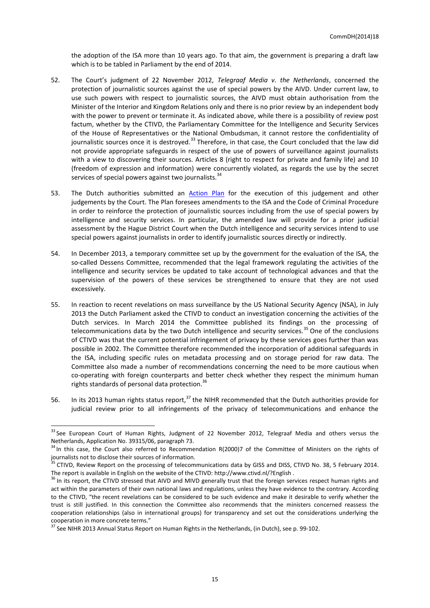the adoption of the ISA more than 10 years ago. To that aim, the government is preparing a draft law which is to be tabled in Parliament by the end of 2014.

- 52. The Court's judgment of 22 November 2012, *Telegraaf Media v. the Netherlands*, concerned the protection of journalistic sources against the use of special powers by the AIVD. Under current law, to use such powers with respect to journalistic sources, the AIVD must obtain authorisation from the Minister of the Interior and Kingdom Relations only and there is no prior review by an independent body with the power to prevent or terminate it. As indicated above, while there is a possibility of review post factum, whether by the CTIVD, the Parliamentary Committee for the Intelligence and Security Services of the House of Representatives or the National Ombudsman, it cannot restore the confidentiality of journalistic sources once it is destroyed.<sup>33</sup> Therefore, in that case, the Court concluded that the law did not provide appropriate safeguards in respect of the use of powers of surveillance against journalists with a view to discovering their sources. Articles 8 (right to respect for private and family life) and 10 (freedom of expression and information) were concurrently violated, as regards the use by the secret services of special powers against two journalists.<sup>3</sup>
- 53. The Dutch authorities submitted an [Action Plan](https://wcd.coe.int/com.instranet.InstraServlet?command=com.instranet.CmdBlobGet&InstranetImage=2334940&SecMode=1&DocId=2043676&Usage=2) for the execution of this judgement and other judgements by the Court. The Plan foresees amendments to the ISA and the Code of Criminal Procedure in order to reinforce the protection of journalistic sources including from the use of special powers by intelligence and security services. In particular, the amended law will provide for a prior judicial assessment by the Hague District Court when the Dutch intelligence and security services intend to use special powers against journalists in order to identify journalistic sources directly or indirectly.
- 54. In December 2013, a temporary committee set up by the government for the evaluation of the ISA, the so-called Dessens Committee, recommended that the legal framework regulating the activities of the intelligence and security services be updated to take account of technological advances and that the supervision of the powers of these services be strengthened to ensure that they are not used excessively.
- 55. In reaction to recent revelations on mass surveillance by the US National Security Agency (NSA), in July 2013 the Dutch Parliament asked the CTIVD to conduct an investigation concerning the activities of the Dutch services. In March 2014 the Committee published its findings on the processing of telecommunications data by the two Dutch intelligence and security services.<sup>35</sup> One of the conclusions of CTIVD was that the current potential infringement of privacy by these services goes further than was possible in 2002. The Committee therefore recommended the incorporation of additional safeguards in the ISA, including specific rules on metadata processing and on storage period for raw data. The Committee also made a number of recommendations concerning the need to be more cautious when co-operating with foreign counterparts and better check whether they respect the minimum human rights standards of personal data protection.<sup>36</sup>
- 56. In its 2013 human rights status report,<sup>37</sup> the NIHR recommended that the Dutch authorities provide for judicial review prior to all infringements of the privacy of telecommunications and enhance the

<sup>&</sup>lt;sup>33</sup> See European Court of Human Rights, Judgment of 22 November 2012, Telegraaf Media and others versus the [Netherlands,](http://hudoc.echr.coe.int/sites/eng/pages/search.aspx?i=001-114439#{"itemid":["001-114439"]}) Application No. 39315/06, paragraph 73.

<sup>&</sup>lt;sup>34</sup> In this case, the Court also referred to [Recommendation](https://www.google.com/search?hl=en&q=Recommendation+No.+R+(2000)+7+of+the+Committee+of+Ministers+on+the+rights+of+journalists+not+to+disclose+their+sources+of+information&meta=) R(2000)7 of the Committee of Ministers on the rights of journalists not to disclose their sources of information.

<sup>&</sup>lt;sup>35</sup> CTIVD, Review Report on the processing of telecommunications data by GISS and DISS, CTIVD No. 38, 5 February 2014. The report is available in English on the website of the CTIVD:<http://www.ctivd.nl/?English> .

<sup>&</sup>lt;sup>36</sup> In its report, the CTIVD stressed that AIVD and MIVD generally trust that the foreign services respect human rights and act within the parameters of their own national laws and regulations, unless they have evidence to the contrary. According to the CTIVD, "the recent revelations can be considered to be such evidence and make it desirable to verify whether the trust is still justified. In this connection the Committee also recommends that the ministers concerned reassess the cooperation relationships (also in international groups) for transparency and set out the considerations underlying the cooperation in more concrete terms."

<sup>&</sup>lt;sup>37</sup> See NIHR 2013 Annual Statu[s Report](http://mensenrechten.nl/sites/default/files/3904.1008%20Jaarrapportage%202013_web4b.pdf) on Human Rights in the Netherlands, (in Dutch), see p. 99-102.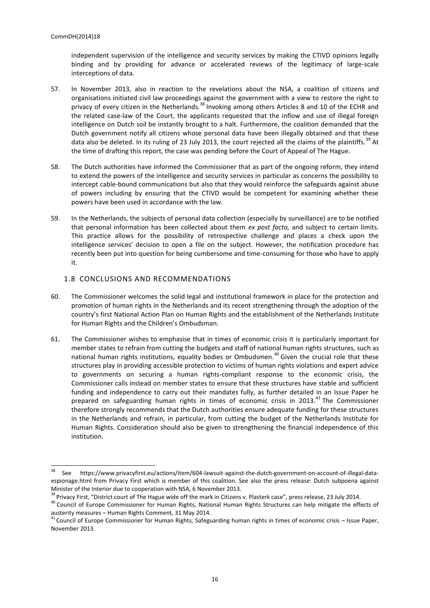independent supervision of the intelligence and security services by making the CTIVD opinions legally binding and by providing for advance or accelerated reviews of the legitimacy of large-scale interceptions of data.

- 57. In November 2013, also in reaction to the revelations about the NSA, a coalition of citizens and organisations initiated civil law proceedings against the government with a view to restore the right to privacy of every citizen in the Netherlands.<sup>38</sup> Invoking among others Articles 8 and 10 of the ECHR and the related case-law of the Court, the applicants requested that the inflow and use of illegal foreign intelligence on Dutch soil be instantly brought to a halt. Furthermore, the coalition demanded that the Dutch government notify all citizens whose personal data have been illegally obtained and that these data also be deleted. In its ruling of 23 July 2013, the court rejected all the claims of the plaintiffs.<sup>39</sup> At the time of drafting this report, the case was pending before the Court of Appeal of The Hague.
- 58. The Dutch authorities have informed the Commissioner that as part of the ongoing reform, they intend to extend the powers of the intelligence and security services in particular as concerns the possibility to intercept cable-bound communications but also that they would reinforce the safeguards against abuse of powers including by ensuring that the CTIVD would be competent for examining whether these powers have been used in accordance with the law.
- 59. In the Netherlands, the subjects of personal data collection (especially by surveillance) are to be notified that personal information has been collected about them *ex post facto,* and subject to certain limits. This practice allows for the possibility of retrospective challenge and places a check upon the intelligence services' decision to open a file on the subject. However, the notification procedure has recently been put into question for being cumbersome and time-consuming for those who have to apply it.

#### <span id="page-15-0"></span>1.8 CONCLUSIONS AND RECOMMENDATIONS

- 60. The Commissioner welcomes the solid legal and institutional framework in place for the protection and promotion of human rights in the Netherlands and its recent strengthening through the adoption of the country's first National Action Plan on Human Rights and the establishment of the Netherlands Institute for Human Rights and the Children's Ombudsman.
- 61. The Commissioner wishes to emphasise that in times of economic crisis it is particularly important for member states to refrain from cutting the budgets and staff of national human rights structures, such as national human rights institutions, equality bodies or Ombudsmen.<sup>40</sup> Given the crucial role that these structures play in providing accessible protection to victims of human rights violations and expert advice to governments on securing a human rights-compliant response to the economic crisis, the Commissioner calls instead on member states to ensure that these structures have stable and sufficient funding and independence to carry out their mandates fully, as further detailed in an Issue Paper he prepared on safeguarding human rights in times of economic crisis in 2013.<sup>41</sup> The Commissioner therefore strongly recommends that the Dutch authorities ensure adequate funding for these structures in the Netherlands and refrain, in particular, from cutting the budget of the Netherlands Institute for Human Rights. Consideration should also be given to strengthening the financial independence of this institution.

<sup>38</sup> See [https://www.privacyfirst.eu/actions/item/604-lawsuit-against-the-dutch-government-on-account-of-illegal-data](https://www.privacyfirst.eu/actions/item/604-lawsuit-against-the-dutch-government-on-account-of-illegal-data-espionage.html)[espionage.html](https://www.privacyfirst.eu/actions/item/604-lawsuit-against-the-dutch-government-on-account-of-illegal-data-espionage.html) from Privacy First which is member of this coalition. See also the press [release:](http://bureaubrandeis.com/press-room/burgers-tegen-plasterk/dutch-subpoena-minister-interior-due-cooperation-nsa/) Dutch subpoena against Minister of the Interior due to cooperation with NSA, 6 November 2013.

<sup>&</sup>lt;sup>39</sup> Privacy First, "District court of The Hague wide off the mark in Citizens v. Plasterk case", [press release,](https://www.privacyfirst.eu/actions/litigation/item/616-district-court-of-the-hague-wide-off-the-mark-in-citizens-v-plasterk-case.html) 23 July 2014.

<sup>&</sup>lt;sup>40</sup> Council of Europe Commissioner for Human Rights, National Human Rights Structures can help mitigate the effects of austerity measures – [Human Rights Comment,](http://humanrightscomment.org/2012/05/31/nhrs/) 31 May 2014.

 $41$  Council of Europe Commissioner for Human Rights, [Safeguarding human rights in times of economic crisis](https://wcd.coe.int/ViewDoc.jsp?Ref=CommDH/IssuePaper(2013)2&Language=lanEnglish) – Issue Paper, November 2013.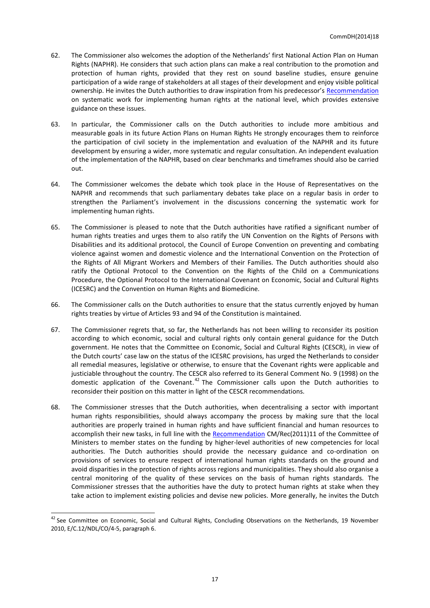- 62. The Commissioner also welcomes the adoption of the Netherlands' first National Action Plan on Human Rights (NAPHR). He considers that such action plans can make a real contribution to the promotion and protection of human rights, provided that they rest on sound baseline studies, ensure genuine participation of a wide range of stakeholders at all stages of their development and enjoy visible political ownership. He invites the Dutch authorities to draw inspiration from his predecessor's [Recommendation](https://wcd.coe.int/ViewDoc.jsp?id=1408617) on systematic work for implementing human rights at the national level, which provides extensive guidance on these issues.
- 63. In particular, the Commissioner calls on the Dutch authorities to include more ambitious and measurable goals in its future Action Plans on Human Rights He strongly encourages them to reinforce the participation of civil society in the implementation and evaluation of the NAPHR and its future development by ensuring a wider, more systematic and regular consultation. An independent evaluation of the implementation of the NAPHR, based on clear benchmarks and timeframes should also be carried out.
- 64. The Commissioner welcomes the debate which took place in the House of Representatives on the NAPHR and recommends that such parliamentary debates take place on a regular basis in order to strengthen the Parliament's involvement in the discussions concerning the systematic work for implementing human rights.
- 65. The Commissioner is pleased to note that the Dutch authorities have ratified a significant number of human rights treaties and urges them to also ratify the UN Convention on the Rights of Persons with Disabilities and its additional protocol, the Council of Europe Convention on preventing and combating violence against women and domestic violence and the International Convention on the Protection of the Rights of All Migrant Workers and Members of their Families. The Dutch authorities should also ratify the Optional Protocol to the Convention on the Rights of the Child on a Communications Procedure, the Optional Protocol to the International Covenant on Economic, Social and Cultural Rights (ICESRC) and the Convention on Human Rights and Biomedicine.
- 66. The Commissioner calls on the Dutch authorities to ensure that the status currently enjoyed by human rights treaties by virtue of Articles 93 and 94 of the Constitution is maintained.
- 67. The Commissioner regrets that, so far, the Netherlands has not been willing to reconsider its position according to which economic, social and cultural rights only contain general guidance for the Dutch government. He notes that the Committee on Economic, Social and Cultural Rights (CESCR), in view of the Dutch courts' case law on the status of the ICESRC provisions, has urged the Netherlands to consider all remedial measures, legislative or otherwise, to ensure that the Covenant rights were applicable and justiciable throughout the country. The CESCR also referred to its General Comment No. 9 (1998) on the domestic application of the Covenant.<sup>42</sup> The Commissioner calls upon the Dutch authorities to reconsider their position on this matter in light of the CESCR recommendations.
- 68. The Commissioner stresses that the Dutch authorities, when decentralising a sector with important human rights responsibilities, should always accompany the process by making sure that the local authorities are properly trained in human rights and have sufficient financial and human resources to accomplish their new tasks, in full line with th[e Recommendation](https://wcd.coe.int/ViewDoc.jsp?id=1852429&Site=COE&BackColorInternet=C3C3C3&BackColorIntranet=EDB021&BackColorLogged=F5D383) CM/Rec(2011)11 of the Committee of Ministers to member states on the funding by higher-level authorities of new competencies for local authorities. The Dutch authorities should provide the necessary guidance and co-ordination on provisions of services to ensure respect of international human rights standards on the ground and avoid disparities in the protection of rights across regions and municipalities. They should also organise a central monitoring of the quality of these services on the basis of human rights standards. The Commissioner stresses that the authorities have the duty to protect human rights at stake when they take action to implement existing policies and devise new policies. More generally, he invites the Dutch

<sup>&</sup>lt;sup>42</sup> See Committee on Economic, Social and Cultural Rights, Concluding Observations on the Netherlands, 19 November 2010, E/C.12/NDL/CO/4-5, paragraph 6.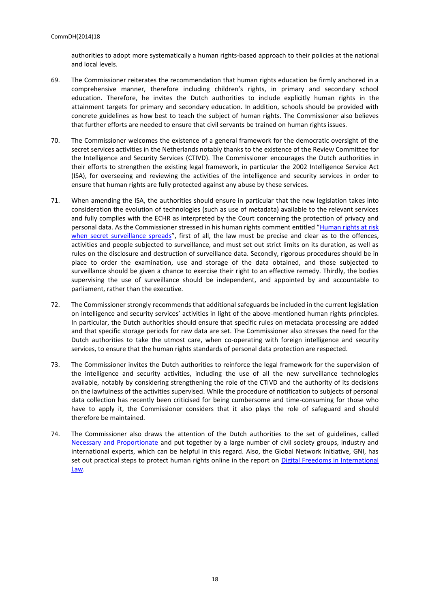authorities to adopt more systematically a human rights-based approach to their policies at the national and local levels.

- 69. The Commissioner reiterates the recommendation that human rights education be firmly anchored in a comprehensive manner, therefore including children's rights, in primary and secondary school education. Therefore, he invites the Dutch authorities to include explicitly human rights in the attainment targets for primary and secondary education. In addition, schools should be provided with concrete guidelines as how best to teach the subject of human rights. The Commissioner also believes that further efforts are needed to ensure that civil servants be trained on human rights issues.
- 70. The Commissioner welcomes the existence of a general framework for the democratic oversight of the secret services activities in the Netherlands notably thanks to the existence of the Review Committee for the Intelligence and Security Services (CTIVD). The Commissioner encourages the Dutch authorities in their efforts to strengthen the existing legal framework, in particular the 2002 Intelligence Service Act (ISA), for overseeing and reviewing the activities of the intelligence and security services in order to ensure that human rights are fully protected against any abuse by these services.
- 71. When amending the ISA, the authorities should ensure in particular that the new legislation takes into consideration the evolution of technologies (such as use of metadata) available to the relevant services and fully complies with the ECHR as interpreted by the Court concerning the protection of privacy and personal data. As the Commissioner stressed in his human rights comment entitled "[Human rights at risk](http://humanrightscomment.org/2013/10/24/human-rights-at-risk-when-secret-surveillance-spreads/)  [when secret surveillance spreads](http://humanrightscomment.org/2013/10/24/human-rights-at-risk-when-secret-surveillance-spreads/)", first of all, the law must be precise and clear as to the offences, activities and people subjected to surveillance, and must set out strict limits on its duration, as well as rules on the disclosure and destruction of surveillance data. Secondly, rigorous procedures should be in place to order the examination, use and storage of the data obtained, and those subjected to surveillance should be given a chance to exercise their right to an effective remedy. Thirdly, the bodies supervising the use of surveillance should be independent, and appointed by and accountable to parliament, rather than the executive.
- 72. The Commissioner strongly recommends that additional safeguards be included in the current legislation on intelligence and security services' activities in light of the above-mentioned human rights principles. In particular, the Dutch authorities should ensure that specific rules on metadata processing are added and that specific storage periods for raw data are set. The Commissioner also stresses the need for the Dutch authorities to take the utmost care, when co-operating with foreign intelligence and security services, to ensure that the human rights standards of personal data protection are respected.
- 73. The Commissioner invites the Dutch authorities to reinforce the legal framework for the supervision of the intelligence and security activities, including the use of all the new surveillance technologies available, notably by considering strengthening the role of the CTIVD and the authority of its decisions on the lawfulness of the activities supervised. While the procedure of notification to subjects of personal data collection has recently been criticised for being cumbersome and time-consuming for those who have to apply it, the Commissioner considers that it also plays the role of safeguard and should therefore be maintained.
- 74. The Commissioner also draws the attention of the Dutch authorities to the set of guidelines, called [Necessary and Proportionate](https://en.necessaryandproportionate.org/text) and put together by a large number of civil society groups, industry and international experts, which can be helpful in this regard. Also, the Global Network Initiative, GNI, has set out practical steps to protect human rights online in the report on Digital Freedoms in International [Law.](https://en.necessaryandproportionate.org/text)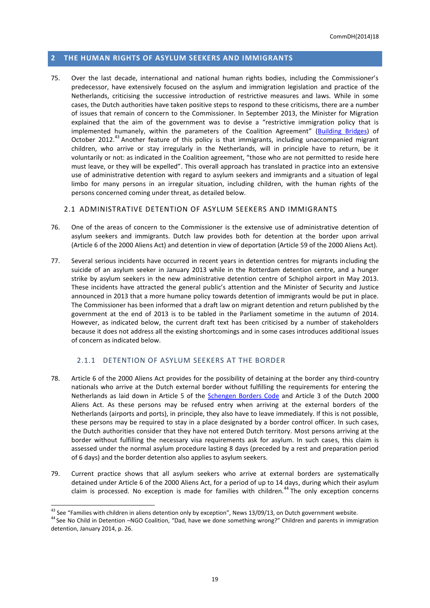#### <span id="page-18-0"></span>**2 THE HUMAN RIGHTS OF ASYLUM SEEKERS AND IMMIGRANTS**

75. Over the last decade, international and national human rights bodies, including the Commissioner's predecessor, have extensively focused on the asylum and immigration legislation and practice of the Netherlands, criticising the successive introduction of restrictive measures and laws. While in some cases, the Dutch authorities have taken positive steps to respond to these criticisms, there are a number of issues that remain of concern to the Commissioner. In September 2013, the Minister for Migration explained that the aim of the government was to devise a "restrictive immigration policy that is implemented humanely, within the parameters of the Coalition Agreement" ([Building Bridges\)](http://www.government.nl/government/coalition-agreement) of October 2012.<sup>43</sup> Another feature of this policy is that immigrants, including unaccompanied migrant children, who arrive or stay irregularly in the Netherlands, will in principle have to return, be it voluntarily or not: as indicated in the Coalition agreement, "those who are not permitted to reside here must leave, or they will be expelled". This overall approach has translated in practice into an extensive use of administrative detention with regard to asylum seekers and immigrants and a situation of legal limbo for many persons in an irregular situation, including children, with the human rights of the persons concerned coming under threat, as detailed below.

#### <span id="page-18-1"></span>2.1 ADMINISTRATIVE DETENTION OF ASYLUM SEEKERS AND IMMIGRANTS

- 76. One of the areas of concern to the Commissioner is the extensive use of administrative detention of asylum seekers and immigrants. Dutch law provides both for detention at the border upon arrival (Article 6 of the 2000 Aliens Act) and detention in view of deportation (Article 59 of the 2000 Aliens Act).
- 77. Several serious incidents have occurred in recent years in detention centres for migrants including the suicide of an asylum seeker in January 2013 while in the Rotterdam detention centre, and a hunger strike by asylum seekers in the new administrative detention centre of Schiphol airport in May 2013. These incidents have attracted the general public's attention and the Minister of Security and Justice announced in 2013 that a more humane policy towards detention of immigrants would be put in place. The Commissioner has been informed that a draft law on migrant detention and return published by the government at the end of 2013 is to be tabled in the Parliament sometime in the autumn of 2014. However, as indicated below, the current draft text has been criticised by a number of stakeholders because it does not address all the existing shortcomings and in some cases introduces additional issues of concern as indicated below.

#### 2.1.1 DETENTION OF ASYLUM SEEKERS AT THE BORDER

- <span id="page-18-2"></span>78. Article 6 of the 2000 Aliens Act provides for the possibility of detaining at the border any third-country nationals who arrive at the Dutch external border without fulfilling the requirements for entering the Netherlands as laid down in Article 5 of the [Schengen Borders Code](http://eur-lex.europa.eu/legal-content/EN/ALL/?uri=CELEX:32006R0562) and Article 3 of the Dutch 2000 Aliens Act. As these persons may be refused entry when arriving at the external borders of the Netherlands (airports and ports), in principle, they also have to leave immediately. If this is not possible, these persons may be required to stay in a place designated by a border control officer. In such cases, the Dutch authorities consider that they have not entered Dutch territory. Most persons arriving at the border without fulfilling the necessary visa requirements ask for asylum. In such cases, this claim is assessed under the normal asylum procedure lasting 8 days (preceded by a rest and preparation period of 6 days) and the border detention also applies to asylum seekers.
- 79. Current practice shows that all asylum seekers who arrive at external borders are systematically detained under Article 6 of the 2000 Aliens Act, for a period of up to 14 days, during which their asylum claim is processed. No exception is made for families with children.<sup>44</sup> The only exception concerns

<sup>&</sup>lt;sup>43</sup> See "Families with children in aliens detention only by exception", [News](http://www.government.nl/news/2013/09/13/families-with-children-in-aliens-detention-only-by-exception.html) 13/09/13, on Dutch government website.

<sup>&</sup>lt;sup>44</sup> See No Child in Detention –NGO Coalition, "Dad, have we done something wrong?" Children and parents in immigration detention, January 2014, p. 26.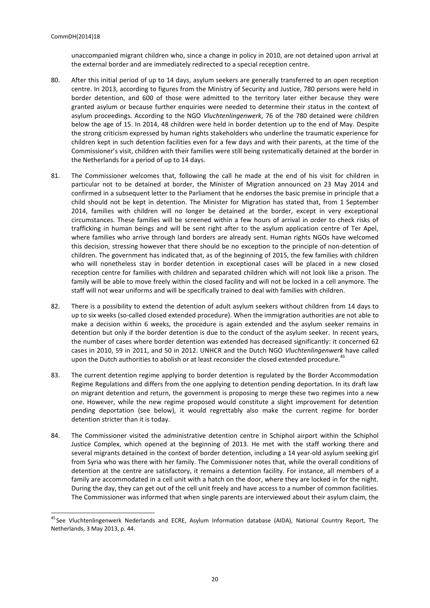unaccompanied migrant children who, since a change in policy in 2010, are not detained upon arrival at the external border and are immediately redirected to a special reception centre.

- 80. After this initial period of up to 14 days, asylum seekers are generally transferred to an open reception centre. In 2013, according to figures from the Ministry of Security and Justice, 780 persons were held in border detention, and 600 of those were admitted to the territory later either because they were granted asylum or because further enquiries were needed to determine their status in the context of asylum proceedings. According to the NGO *Vluchtenlingenwerk*, 76 of the 780 detained were children below the age of 15. In 2014, 48 children were held in border detention up to the end of May. Despite the strong criticism expressed by human rights stakeholders who underline the traumatic experience for children kept in such detention facilities even for a few days and with their parents, at the time of the Commissioner's visit, children with their families were still being systematically detained at the border in the Netherlands for a period of up to 14 days.
- 81. The Commissioner welcomes that, following the call he made at the end of his visit for children in particular not to be detained at border, the Minister of Migration announced on 23 May 2014 and confirmed in a subsequent letter to the Parliament that he endorses the basic premise in principle that a child should not be kept in detention. The Minister for Migration has stated that, from 1 September 2014, families with children will no longer be detained at the border, except in very exceptional circumstances. These families will be screened within a few hours of arrival in order to check risks of trafficking in human beings and will be sent right after to the asylum application centre of Ter Apel, where families who arrive through land borders are already sent. Human rights NGOs have welcomed this decision, stressing however that there should be no exception to the principle of non-detention of children. The government has indicated that, as of the beginning of 2015, the few families with children who will nonetheless stay in border detention in exceptional cases will be placed in a new closed reception centre for families with children and separated children which will not look like a prison. The family will be able to move freely within the closed facility and will not be locked in a cell anymore. The staff will not wear uniforms and will be specifically trained to deal with families with children.
- 82. There is a possibility to extend the detention of adult asylum seekers without children from 14 days to up to six weeks (so-called closed extended procedure). When the immigration authorities are not able to make a decision within 6 weeks, the procedure is again extended and the asylum seeker remains in detention but only if the border detention is due to the conduct of the asylum seeker. In recent years, the number of cases where border detention was extended has decreased significantly: it concerned 62 cases in 2010, 59 in 2011, and 50 in 2012. UNHCR and the Dutch NGO *Vluchtenlingenwerk* have called upon the Dutch authorities to abolish or at least reconsider the closed extended procedure.<sup>45</sup>
- 83. The current detention regime applying to border detention is regulated by the Border Accommodation Regime Regulations and differs from the one applying to detention pending deportation. In its draft law on migrant detention and return, the government is proposing to merge these two regimes into a new one. However, while the new regime proposed would constitute a slight improvement for detention pending deportation (see below), it would regrettably also make the current regime for border detention stricter than it is today.
- 84. The Commissioner visited the administrative detention centre in Schiphol airport within the Schiphol Justice Complex, which opened at the beginning of 2013. He met with the staff working there and several migrants detained in the context of border detention, including a 14 year-old asylum seeking girl from Syria who was there with her family. The Commissioner notes that, while the overall conditions of detention at the centre are satisfactory, it remains a detention facility. For instance, all members of a family are accommodated in a cell unit with a hatch on the door, where they are locked in for the night. During the day, they can get out of the cell unit freely and have access to a number of common facilities. The Commissioner was informed that when single parents are interviewed about their asylum claim, the

<sup>&</sup>lt;sup>45</sup> See Vluchtenlingenwerk Nederlands and ECRE, Asylum Information database (AIDA), National Country Report, The Netherlands, 3 May 2013, p. 44.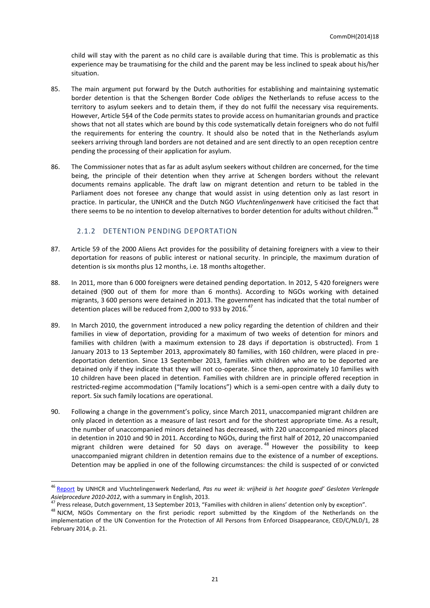child will stay with the parent as no child care is available during that time. This is problematic as this experience may be traumatising for the child and the parent may be less inclined to speak about his/her situation.

- 85. The main argument put forward by the Dutch authorities for establishing and maintaining systematic border detention is that the Schengen Border Code *obliges* the Netherlands to refuse access to the territory to asylum seekers and to detain them, if they do not fulfil the necessary visa requirements. However, Article 5§4 of the Code permits states to provide access on humanitarian grounds and practice shows that not all states which are bound by this code systematically detain foreigners who do not fulfil the requirements for entering the country. It should also be noted that in the Netherlands asylum seekers arriving through land borders are not detained and are sent directly to an open reception centre pending the processing of their application for asylum.
- 86. The Commissioner notes that as far as adult asylum seekers without children are concerned, for the time being, the principle of their detention when they arrive at Schengen borders without the relevant documents remains applicable. The draft law on migrant detention and return to be tabled in the Parliament does not foresee any change that would assist in using detention only as last resort in practice. In particular, the UNHCR and the Dutch NGO *Vluchtenlingenwerk* have criticised the fact that there seems to be no intention to develop alternatives to border detention for adults without children.<sup>46</sup>

## 2.1.2 DETENTION PENDING DEPORTATION

- <span id="page-20-0"></span>87. Article 59 of the 2000 Aliens Act provides for the possibility of detaining foreigners with a view to their deportation for reasons of public interest or national security. In principle, the maximum duration of detention is six months plus 12 months, i.e. 18 months altogether.
- 88. In 2011, more than 6 000 foreigners were detained pending deportation. In 2012, 5 420 foreigners were detained (900 out of them for more than 6 months). According to NGOs working with detained migrants, 3 600 persons were detained in 2013. The government has indicated that the total number of detention places will be reduced from 2,000 to 933 by 2016. $47$
- 89. In March 2010, the government introduced a new policy regarding the detention of children and their families in view of deportation, providing for a maximum of two weeks of detention for minors and families with children (with a maximum extension to 28 days if deportation is obstructed). From 1 January 2013 to 13 September 2013, approximately 80 families, with 160 children, were placed in predeportation detention. Since 13 September 2013, families with children who are to be deported are detained only if they indicate that they will not co-operate. Since then, approximately 10 families with 10 children have been placed in detention. Families with children are in principle offered reception in restricted-regime accommodation ("family locations") which is a semi-open centre with a daily duty to report. Six such family locations are operational.
- 90. Following a change in the government's policy, since March 2011, unaccompanied migrant children are only placed in detention as a measure of last resort and for the shortest appropriate time. As a result, the number of unaccompanied minors detained has decreased, with 220 unaccompanied minors placed in detention in 2010 and 90 in 2011. According to NGOs, during the first half of 2012, 20 unaccompanied migrant children were detained for 50 days on average. <sup>48</sup> However the possibility to keep unaccompanied migrant children in detention remains due to the existence of a number of exceptions. Detention may be applied in one of the following circumstances: the child is suspected of or convicted

<sup>&</sup>lt;sup>46</sup> [Report](http://www.unhcr.nl/fileadmin/user_upload/movies/Gesloten_Verlengde_Asielprocedure_Rapport.pdf.pdf) by UNHCR and Vluchtelingenwerk Nederland, Pas nu weet ik: vrijheid is het hoogste goed' Gesloten Verlengde *Asielprocedure 2010-2012*, with a summary in English, 2013.

<sup>&</sup>lt;sup>47</sup> Press release, Dutch government, 13 September 2013, "Families with children in aliens' detention only by exception".

<sup>&</sup>lt;sup>48</sup> NJCM, NGOs Commentary on the first periodic report submitted by the Kingdom of the Netherlands on the implementation of the UN Convention for the Protection of All Persons from Enforced Disappearance, CED/C/NLD/1, 28 February 2014, p. 21.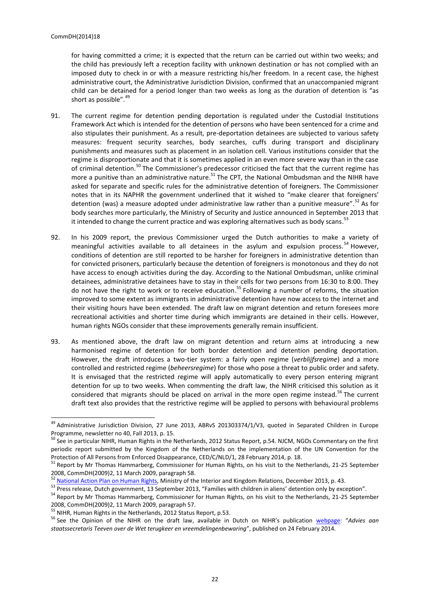for having committed a crime; it is expected that the return can be carried out within two weeks; and the child has previously left a reception facility with unknown destination or has not complied with an imposed duty to check in or with a measure restricting his/her freedom. In a recent case, the highest administrative court, the Administrative Jurisdiction Division, confirmed that an unaccompanied migrant child can be detained for a period longer than two weeks as long as the duration of detention is "as short as possible".<sup>49</sup>

- 91. The current regime for detention pending deportation is regulated under the Custodial Institutions Framework Act which is intended for the detention of persons who have been sentenced for a crime and also stipulates their punishment. As a result, pre-deportation detainees are subjected to various safety measures: frequent security searches, body searches, cuffs during transport and disciplinary punishments and measures such as placement in an isolation cell. Various institutions consider that the regime is disproportionate and that it is sometimes applied in an even more severe way than in the case of criminal detention.<sup>50</sup> The Commissioner's predecessor criticised the fact that the current regime has more a punitive than an administrative nature.<sup>51</sup> The CPT, the National Ombudsman and the NIHR have asked for separate and specific rules for the administrative detention of foreigners. The Commissioner notes that in its NAPHR the government underlined that it wished to "make clearer that foreigners' detention (was) a measure adopted under administrative law rather than a punitive measure".<sup>52</sup> As for body searches more particularly, the Ministry of Security and Justice announced in September 2013 that it intended to change the current practice and was exploring alternatives such as body scans.<sup>53</sup>
- 92. In his 2009 report, the previous Commissioner urged the Dutch authorities to make a variety of meaningful activities available to all detainees in the asylum and expulsion process.<sup>54</sup> However, conditions of detention are still reported to be harsher for foreigners in administrative detention than for convicted prisoners, particularly because the detention of foreigners is monotonous and they do not have access to enough activities during the day. According to the National Ombudsman, unlike criminal detainees, administrative detainees have to stay in their cells for two persons from 16:30 to 8:00. They do not have the right to work or to receive education.<sup>55</sup> Following a number of reforms, the situation improved to some extent as immigrants in administrative detention have now access to the internet and their visiting hours have been extended. The draft law on migrant detention and return foresees more recreational activities and shorter time during which immigrants are detained in their cells. However, human rights NGOs consider that these improvements generally remain insufficient.
- 93. As mentioned above, the draft law on migrant detention and return aims at introducing a new harmonised regime of detention for both border detention and detention pending deportation. However, the draft introduces a two-tier system: a fairly open regime (*verblijfsregime*) and a more controlled and restricted regime (*beheersregime*) for those who pose a threat to public order and safety. It is envisaged that the restricted regime will apply automatically to every person entering migrant detention for up to two weeks. When commenting the draft law, the NIHR criticised this solution as it considered that migrants should be placed on arrival in the more open regime instead.<sup>56</sup> The current draft text also provides that the restrictive regime will be applied to persons with behavioural problems

<sup>&</sup>lt;sup>49</sup> Administrative Jurisdiction Division, 27 June 2013, ABRvS 201303374/1/V3, quoted in Separated Children in Europe Programme, newsletter no 40, Fall 2013, p. 15.

<sup>&</sup>lt;sup>50</sup> See in particular NIHR, Human Rights in the Netherlands, 2012 Status Report, p.54. NJCM, NGOs Commentary on the first periodic report submitted by the Kingdom of the Netherlands on the implementation of the UN Convention for the Protection of All Persons from Enforced Disappearance, CED/C/NLD/1, 28 February 2014, p. 18.

<sup>&</sup>lt;sup>51</sup> Report by Mr Thomas Hammarberg, Commissioner for Human Rights, on his visit to the Netherlands, 21-25 September 2008, CommDH(2009)2, 11 March 2009, paragraph 58.

<sup>52</sup> [National Action Plan on Human Rights,](http://www.government.nl/government/documents-and-publications/notes/2014/03/19/national-action-plan-on-human-rights.html) Ministry of the Interior and Kingdom Relations, December 2013, p. 43.

<sup>53</sup> Press release, Dutch government, 13 September 2013, "Families with children in aliens' detention only by exception".

<sup>54</sup> Report by Mr Thomas Hammarberg, Commissioner for Human Rights, on his visit to the Netherlands, 21-25 September 2008, CommDH(2009)2, 11 March 2009, paragraph 57.

<sup>&</sup>lt;sup>55</sup> NIHR, Human Rights in the Netherlands, 2012 Status Report, p.53.

<sup>56</sup> See the Opinion of the NIHR on the draft law, available in Dutch on NIHR's publication [webpage](http://www.mensenrechten.nl/publicaties/zoek?categorie%5b0%5d=434552): "*Advies aan staatssecretaris Teeven over de Wet terugkeer en vreemdelingenbewaring*", published on 24 February 2014.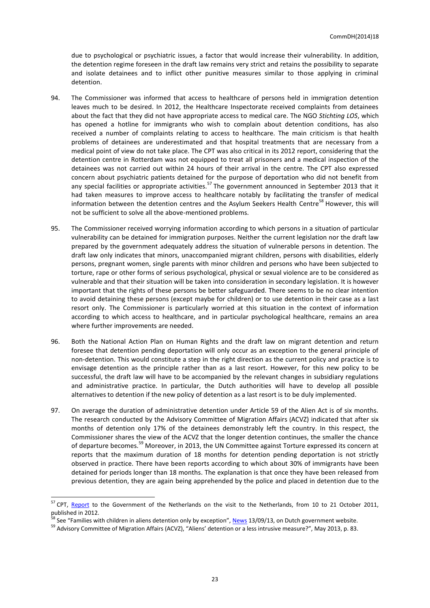due to psychological or psychiatric issues, a factor that would increase their vulnerability. In addition, the detention regime foreseen in the draft law remains very strict and retains the possibility to separate and isolate detainees and to inflict other punitive measures similar to those applying in criminal detention.

- 94. The Commissioner was informed that access to healthcare of persons held in immigration detention leaves much to be desired. In 2012, the Healthcare Inspectorate received complaints from detainees about the fact that they did not have appropriate access to medical care. The NGO *Stichting LOS*, which has opened a hotline for immigrants who wish to complain about detention conditions, has also received a number of complaints relating to access to healthcare. The main criticism is that health problems of detainees are underestimated and that hospital treatments that are necessary from a medical point of view do not take place. The CPT was also critical in its 2012 report, considering that the detention centre in Rotterdam was not equipped to treat all prisoners and a medical inspection of the detainees was not carried out within 24 hours of their arrival in the centre. The CPT also expressed concern about psychiatric patients detained for the purpose of deportation who did not benefit from any special facilities or appropriate activities.<sup>57</sup> The government announced in September 2013 that it had taken measures to improve access to healthcare notably by facilitating the transfer of medical information between the detention centres and the Asylum Seekers Health Centre<sup>58</sup> However, this will not be sufficient to solve all the above-mentioned problems.
- 95. The Commissioner received worrying information according to which persons in a situation of particular vulnerability can be detained for immigration purposes. Neither the current legislation nor the draft law prepared by the government adequately address the situation of vulnerable persons in detention. The draft law only indicates that minors, unaccompanied migrant children, persons with disabilities, elderly persons, pregnant women, single parents with minor children and persons who have been subjected to torture, rape or other forms of serious psychological, physical or sexual violence are to be considered as vulnerable and that their situation will be taken into consideration in secondary legislation. It is however important that the rights of these persons be better safeguarded. There seems to be no clear intention to avoid detaining these persons (except maybe for children) or to use detention in their case as a last resort only. The Commissioner is particularly worried at this situation in the context of information according to which access to healthcare, and in particular psychological healthcare, remains an area where further improvements are needed.
- 96. Both the National Action Plan on Human Rights and the draft law on migrant detention and return foresee that detention pending deportation will only occur as an exception to the general principle of non-detention. This would constitute a step in the right direction as the current policy and practice is to envisage detention as the principle rather than as a last resort. However, for this new policy to be successful, the draft law will have to be accompanied by the relevant changes in subsidiary regulations and administrative practice. In particular, the Dutch authorities will have to develop all possible alternatives to detention if the new policy of detention as a last resort is to be duly implemented.
- 97. On average the duration of administrative detention under Article 59 of the Alien Act is of six months. The research conducted by the Advisory Committee of Migration Affairs (ACVZ) indicated that after six months of detention only 17% of the detainees demonstrably left the country. In this respect, the Commissioner shares the view of the ACVZ that the longer detention continues, the smaller the chance of departure becomes.<sup>59</sup> Moreover, in 2013, the UN Committee against Torture expressed its concern at reports that the maximum duration of 18 months for detention pending deportation is not strictly observed in practice. There have been reports according to which about 30% of immigrants have been detained for periods longer than 18 months. The explanation is that once they have been released from previous detention, they are again being apprehended by the police and placed in detention due to the

<sup>&</sup>lt;sup>57</sup> CPT, [Report](http://www.cpt.coe.int/documents/nld/2012-21-inf-eng.pdf) to the Government of the Netherlands on the visit to the Netherlands, from 10 to 21 October 2011, published in 2012.

<sup>&</sup>lt;sup>58</sup> See "Families with children in aliens detention only by exception", <u>[News](http://www.government.nl/news/2013/09/13/families-with-children-in-aliens-detention-only-by-exception.html)</u> 13/09/13, on Dutch government website.

<sup>&</sup>lt;sup>59</sup> Advisory Committee of Migration Affairs (ACVZ), "Aliens' detention or a less intrusive measure?", May 2013, p. 83.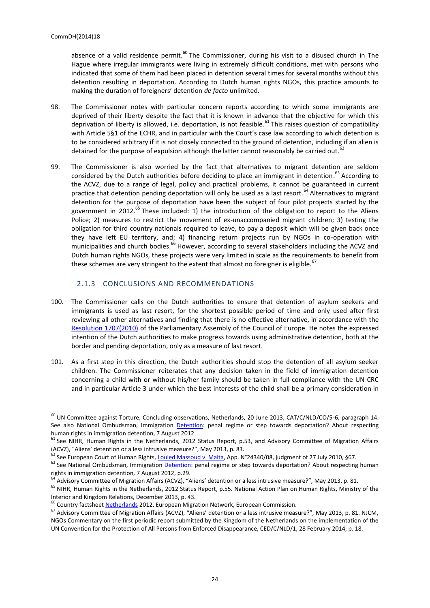absence of a valid residence permit.<sup>60</sup> The Commissioner, during his visit to a disused church in The Hague where irregular immigrants were living in extremely difficult conditions, met with persons who indicated that some of them had been placed in detention several times for several months without this detention resulting in deportation. According to Dutch human rights NGOs, this practice amounts to making the duration of foreigners' detention *de facto* unlimited.

- 98. The Commissioner notes with particular concern reports according to which some immigrants are deprived of their liberty despite the fact that it is known in advance that the objective for which this deprivation of liberty is allowed, i.e. deportation, is not feasible.<sup>61</sup> This raises question of compatibility with Article 5§1 of the ECHR, and in particular with the Court's case law according to which detention is to be considered arbitrary if it is not closely connected to the ground of detention, including if an alien is detained for the purpose of expulsion although the latter cannot reasonably be carried out.
- 99. The Commissioner is also worried by the fact that alternatives to migrant detention are seldom considered by the Dutch authorities before deciding to place an immigrant in detention.<sup>63</sup> According to the ACVZ, due to a range of legal, policy and practical problems, it cannot be guaranteed in current practice that detention pending deportation will only be used as a last resort.<sup>64</sup> Alternatives to migrant detention for the purpose of deportation have been the subject of four pilot projects started by the government in 2012.<sup>65</sup> These included: 1) the introduction of the obligation to report to the Aliens Police; 2) measures to restrict the movement of ex-unaccompanied migrant children; 3) testing the obligation for third country nationals required to leave, to pay a deposit which will be given back once they have left EU territory, and; 4) financing return projects run by NGOs in co-operation with municipalities and church bodies.<sup>66</sup> However, according to several stakeholders including the ACVZ and Dutch human rights NGOs, these projects were very limited in scale as the requirements to benefit from these schemes are very stringent to the extent that almost no foreigner is eligible.<sup>67</sup>

#### 2.1.3 CONCLUSIONS AND RECOMMENDATIONS

- <span id="page-23-0"></span>100. The Commissioner calls on the Dutch authorities to ensure that detention of asylum seekers and immigrants is used as last resort, for the shortest possible period of time and only used after first reviewing all other alternatives and finding that there is no effective alternative, in accordance with the [Resolution 1707\(2010\)](http://assembly.coe.int/Mainf.asp?link=/Documents/AdoptedText/ta10/ERES1707.htm) of the Parliamentary Assembly of the Council of Europe. He notes the expressed intention of the Dutch authorities to make progress towards using administrative detention, both at the border and pending deportation, only as a measure of last resort.
- 101. As a first step in this direction, the Dutch authorities should stop the detention of all asylum seeker children. The Commissioner reiterates that any decision taken in the field of immigration detention concerning a child with or without his/her family should be taken in full compliance with the UN CRC and in particular Article 3 under which the best interests of the child shall be a primary consideration in

 $^{60}$  UN Committee against Torture, Concluding observations, Netherlands, 20 June 2013, CAT/C/NLD/CO/5-6, paragraph 14. See also National Ombudsman, Immigration [Detention:](http://www.nationaleombudsman.nl/sites/default/files/report_2012105_immigration_detention.pdf) penal regime or step towards deportation? About respecting human rights in immigration detention, 7 August 2012.

<sup>&</sup>lt;sup>61</sup> See NIHR, Human Rights in the Netherlands, 2012 Status Report, p.53, and Advisory Committee of Migration Affairs (ACVZ), "Aliens' detention or a less intrusive measure?", May 2013, p. 83.

<sup>&</sup>lt;sup>62</sup> See European Court of Human Rights, <u>Louled Massoud v. Malta</u>, App. N°24340/08, judgment of 27 July 2010, §67.

<sup>63</sup> See National Ombudsman, Immigration [Detention:](http://www.nationaleombudsman.nl/sites/default/files/report_2012105_immigration_detention.pdf) penal regime or step towards deportation? About respecting human rights in immigration detention, 7 August 2012, p.29.

<sup>&</sup>lt;sup>1</sup> Advisory Committee of Migration Affairs (ACVZ), "Aliens' detention or a less intrusive measure?", Mav 2013, p. 81.

<sup>&</sup>lt;sup>65</sup> NIHR, Human Rights in the Netherlands, 2012 Status Report, p.55. National Action Plan on Human Rights, Ministry of the Interior and Kingdom Relations, December 2013, p. 43.

<sup>&</sup>lt;sup>66</sup> Country factsheet [Netherlands](http://ec.europa.eu/dgs/home-affairs/what-we-do/networks/european_migration_network/reports/docs/country-factsheets/country_factsheet_netherlands_2012_(en)_-_400010_en.pdf) 2012, European Migration Network, European Commission.

<sup>&</sup>lt;sup>67</sup> Advisory Committee of Migration Affairs (ACVZ), "Aliens' detention or a less intrusive measure?", May 2013, p. 81. NJCM, NGOs Commentary on the first periodic report submitted by the Kingdom of the Netherlands on the implementation of the UN Convention for the Protection of All Persons from Enforced Disappearance, CED/C/NLD/1, 28 February 2014, p. 18.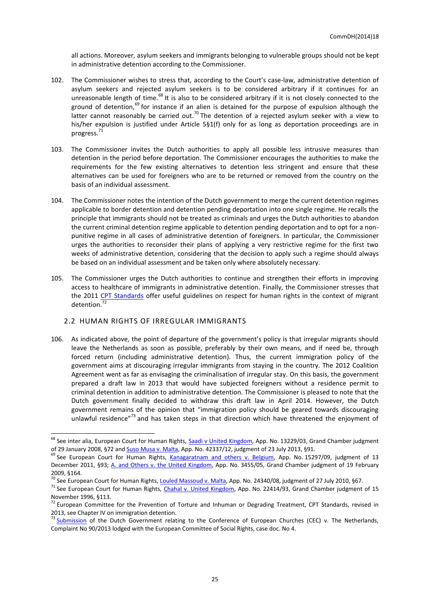all actions. Moreover, asylum seekers and immigrants belonging to vulnerable groups should not be kept in administrative detention according to the Commissioner.

- 102. The Commissioner wishes to stress that, according to the Court's case-law, administrative detention of asylum seekers and rejected asylum seekers is to be considered arbitrary if it continues for an unreasonable length of time.<sup>68</sup> It is also to be considered arbitrary if it is not closely connected to the ground of detention, $69$  for instance if an alien is detained for the purpose of expulsion although the latter cannot reasonably be carried out.<sup>70</sup> The detention of a rejected asylum seeker with a view to his/her expulsion is justified under Article 5§1(f) only for as long as deportation proceedings are in progress. 71
- 103. The Commissioner invites the Dutch authorities to apply all possible less intrusive measures than detention in the period before deportation. The Commissioner encourages the authorities to make the requirements for the few existing alternatives to detention less stringent and ensure that these alternatives can be used for foreigners who are to be returned or removed from the country on the basis of an individual assessment.
- 104. The Commissioner notes the intention of the Dutch government to merge the current detention regimes applicable to border detention and detention pending deportation into one single regime. He recalls the principle that immigrants should not be treated as criminals and urges the Dutch authorities to abandon the current criminal detention regime applicable to detention pending deportation and to opt for a nonpunitive regime in all cases of administrative detention of foreigners. In particular, the Commissioner urges the authorities to reconsider their plans of applying a very restrictive regime for the first two weeks of administrative detention, considering that the decision to apply such a regime should always be based on an individual assessment and be taken only where absolutely necessary.
- 105. The Commissioner urges the Dutch authorities to continue and strengthen their efforts in improving access to healthcare of immigrants in administrative detention. Finally, the Commissioner stresses that the 2011 [CPT Standards](http://www.cpt.coe.int/en/documents/eng-standards.pdf) offer useful guidelines on respect for human rights in the context of migrant detention.<sup>72</sup>

#### <span id="page-24-0"></span>2.2 HUMAN RIGHTS OF IRREGULAR IMMIGRANTS

 $\overline{a}$ 

106. As indicated above, the point of departure of the government's policy is that irregular migrants should leave the Netherlands as soon as possible, preferably by their own means, and if need be, through forced return (including administrative detention). Thus, the current immigration policy of the government aims at discouraging irregular immigrants from staying in the country. The 2012 Coalition Agreement went as far as envisaging the criminalisation of irregular stay. On this basis, the government prepared a draft law in 2013 that would have subjected foreigners without a residence permit to criminal detention in addition to administrative detention. The Commissioner is pleased to note that the Dutch government finally decided to withdraw this draft law in April 2014. However, the Dutch government remains of the opinion that "immigration policy should be geared towards discouraging unlawful residence"<sup>73</sup> and has taken steps in that direction which have threatened the enjoyment of

<sup>&</sup>lt;sup>68</sup> See inter alia, European Court for Human Rights, [Saadi v United Kingdom,](http://hudoc.echr.coe.int/sites/eng/Pages/search.aspx#{"fulltext":["saadi"],"documentcollectionid2":["GRANDCHAMBER","CHAMBER"],"itemid":["001-84709"]}) App. No. 13229/03, Grand Chamber judgment of 29 January 2008, §72 and <u>Suso Musa v. Malta</u>, App. No. 42337/12, judgment of 23 July 2013, §91.

<sup>&</sup>lt;sup>69</sup> See European Court for Human Rights, <u>Kanagaratnam and others v. Belgium</u>, App. No. 15297/09, judgment of 13 December 2011, §93; [A. and Others v. the United Kingdom,](http://hudoc.echr.coe.int/sites/eng/Pages/search.aspx#{"fulltext":["A. and others"],"documentcollectionid2":["GRANDCHAMBER","CHAMBER"],"itemid":["001-91403"]}) App. No. 3455/05, Grand Chamber judgment of 19 February 2009, §164.

<sup>&</sup>lt;sup>70</sup> See European Court for Human Rights[, Louled Massoud v. Malta,](http://hudoc.echr.coe.int/sites/eng/Pages/search.aspx#{"fulltext":["louled"],"documentcollectionid2":["GRANDCHAMBER","CHAMBER"],"itemid":["001-100143"]}) App. No. 24340/08, judgment of 27 July 2010, §67.

<sup>&</sup>lt;sup>71</sup> See European Court for Human Rights, *Chahal v. United Kingdom*, App. No. 22414/93, Grand Chamber judgment of 15 November 1996, §113.

 $72$  European Committee for the Prevention of Torture and Inhuman or Degrading Treatment, CPT Standards, revised in 2013, see Chapter IV on immigration detention.

<sup>&</sup>lt;sup>73</sup> [Submission](file:///C:/Users/lam_c/AppData/Local/Microsoft/Windows/Temporary%20Internet%20Files/Content.Outlook/7X6FF41X/Submission%20of%20the%20Dutch%20government%20http:/www.coe.int/t/dghl/monitoring/socialcharter/complaints/CC90CaseDoc4_en.pdf) of the Dutch Government relating to the Conference of European Churches (CEC) v. The Netherlands, Complaint No 90/2013 lodged with the European Committee of Social Rights, case doc. No 4.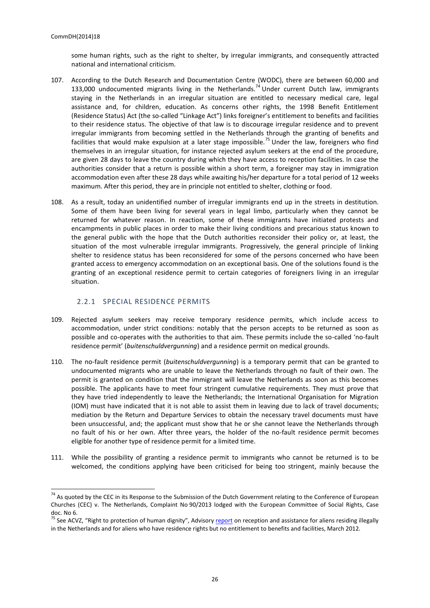some human rights, such as the right to shelter, by irregular immigrants, and consequently attracted national and international criticism.

- 107. According to the Dutch Research and Documentation Centre (WODC), there are between 60,000 and 133,000 undocumented migrants living in the Netherlands.<sup>74</sup> Under current Dutch law, immigrants staying in the Netherlands in an irregular situation are entitled to necessary medical care, legal assistance and, for children, education. As concerns other rights, the 1998 Benefit Entitlement (Residence Status) Act (the so-called "Linkage Act") links foreigner's entitlement to benefits and facilities to their residence status. The objective of that law is to discourage irregular residence and to prevent irregular immigrants from becoming settled in the Netherlands through the granting of benefits and facilities that would make expulsion at a later stage impossible.<sup>75</sup> Under the law, foreigners who find themselves in an irregular situation, for instance rejected asylum seekers at the end of the procedure, are given 28 days to leave the country during which they have access to reception facilities. In case the authorities consider that a return is possible within a short term, a foreigner may stay in immigration accommodation even after these 28 days while awaiting his/her departure for a total period of 12 weeks maximum. After this period, they are in principle not entitled to shelter, clothing or food.
- 108. As a result, today an unidentified number of irregular immigrants end up in the streets in destitution. Some of them have been living for several years in legal limbo, particularly when they cannot be returned for whatever reason. In reaction, some of these immigrants have initiated protests and encampments in public places in order to make their living conditions and precarious status known to the general public with the hope that the Dutch authorities reconsider their policy or, at least, the situation of the most vulnerable irregular immigrants. Progressively, the general principle of linking shelter to residence status has been reconsidered for some of the persons concerned who have been granted access to emergency accommodation on an exceptional basis. One of the solutions found is the granting of an exceptional residence permit to certain categories of foreigners living in an irregular situation.

## 2.2.1 SPECIAL RESIDENCE PERMITS

- <span id="page-25-0"></span>109. Rejected asylum seekers may receive temporary residence permits, which include access to accommodation, under strict conditions: notably that the person accepts to be returned as soon as possible and co-operates with the authorities to that aim. These permits include the so-called 'no-fault residence permit' (*buitenschuldvergunning*) and a residence permit on medical grounds.
- 110. The no-fault residence permit (*buitenschuldvergunning*) is a temporary permit that can be granted to undocumented migrants who are unable to leave the Netherlands through no fault of their own. The permit is granted on condition that the immigrant will leave the Netherlands as soon as this becomes possible. The applicants have to meet four stringent cumulative requirements. They must prove that they have tried independently to leave the Netherlands; the International Organisation for Migration (IOM) must have indicated that it is not able to assist them in leaving due to lack of travel documents; mediation by the Return and Departure Services to obtain the necessary travel documents must have been unsuccessful, and; the applicant must show that he or she cannot leave the Netherlands through no fault of his or her own. After three years, the holder of the no-fault residence permit becomes eligible for another type of residence permit for a limited time.
- 111. While the possibility of granting a residence permit to immigrants who cannot be returned is to be welcomed, the conditions applying have been criticised for being too stringent, mainly because the

<sup>&</sup>lt;sup>74</sup> As quoted by the CEC in its Response to the Submission of the Dutch Government relating to the Conference of European Churches (CEC) v. The Netherlands, Complaint No 90/2013 lodged with the European Committee of Social Rights, Case doc. No 6.

<sup>&</sup>lt;sup>75</sup> See ACVZ, "Right to protection of human dignity", Advisory [report](http://www.acvz.org/publicaties/summaryREPORT34.pdf) on reception and assistance for aliens residing illegally in the Netherlands and for aliens who have residence rights but no entitlement to benefits and facilities, March 2012.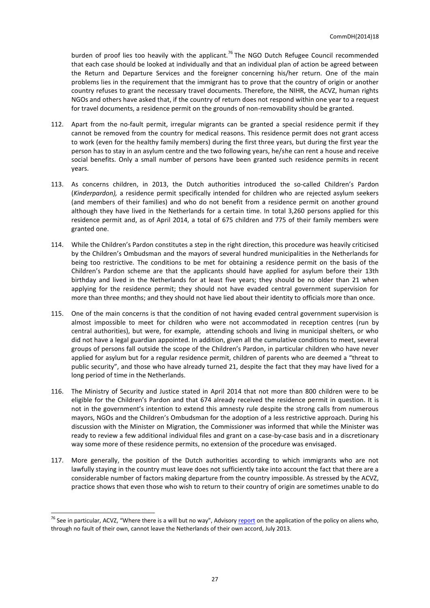burden of proof lies too heavily with the applicant.<sup>76</sup> The NGO Dutch Refugee Council recommended that each case should be looked at individually and that an individual plan of action be agreed between the Return and Departure Services and the foreigner concerning his/her return. One of the main problems lies in the requirement that the immigrant has to prove that the country of origin or another country refuses to grant the necessary travel documents. Therefore, the NIHR, the ACVZ, human rights NGOs and others have asked that, if the country of return does not respond within one year to a request for travel documents, a residence permit on the grounds of non-removability should be granted.

- 112. Apart from the no-fault permit, irregular migrants can be granted a special residence permit if they cannot be removed from the country for medical reasons. This residence permit does not grant access to work (even for the healthy family members) during the first three years, but during the first year the person has to stay in an asylum centre and the two following years, he/she can rent a house and receive social benefits. Only a small number of persons have been granted such residence permits in recent years.
- 113. As concerns children, in 2013, the Dutch authorities introduced the so-called Children's Pardon (*Kinderpardon),* a residence permit specifically intended for children who are rejected asylum seekers (and members of their families) and who do not benefit from a residence permit on another ground although they have lived in the Netherlands for a certain time. In total 3,260 persons applied for this residence permit and, as of April 2014, a total of 675 children and 775 of their family members were granted one.
- 114. While the Children's Pardon constitutes a step in the right direction, this procedure was heavily criticised by the Children's Ombudsman and the mayors of several hundred municipalities in the Netherlands for being too restrictive. The conditions to be met for obtaining a residence permit on the basis of the Children's Pardon scheme are that the applicants should have applied for asylum before their 13th birthday and lived in the Netherlands for at least five years; they should be no older than 21 when applying for the residence permit; they should not have evaded central government supervision for more than three months; and they should not have lied about their identity to officials more than once.
- 115. One of the main concerns is that the condition of not having evaded central government supervision is almost impossible to meet for children who were not accommodated in reception centres (run by central authorities), but were, for example, attending schools and living in municipal shelters, or who did not have a legal guardian appointed. In addition, given all the cumulative conditions to meet, several groups of persons fall outside the scope of the Children's Pardon, in particular children who have never applied for asylum but for a regular residence permit, children of parents who are deemed a "threat to public security", and those who have already turned 21, despite the fact that they may have lived for a long period of time in the Netherlands.
- 116. The Ministry of Security and Justice stated in April 2014 that not more than 800 children were to be eligible for the Children's Pardon and that 674 already received the residence permit in question. It is not in the government's intention to extend this amnesty rule despite the strong calls from numerous mayors, NGOs and the Children's Ombudsman for the adoption of a less restrictive approach. During his discussion with the Minister on Migration, the Commissioner was informed that while the Minister was ready to review a few additional individual files and grant on a case-by-case basis and in a discretionary way some more of these residence permits, no extension of the procedure was envisaged.
- 117. More generally, the position of the Dutch authorities according to which immigrants who are not lawfully staying in the country must leave does not sufficiently take into account the fact that there are a considerable number of factors making departure from the country impossible. As stressed by the ACVZ, practice shows that even those who wish to return to their country of origin are sometimes unable to do

<sup>&</sup>lt;sup>76</sup> See in particular, ACVZ, "Where there is a will but no way", Advisory [report](http://www.acvz.org/publicaties/Advies38-ACVZwebSUM.pdf) on the application of the policy on aliens who, through no fault of their own, cannot leave the Netherlands of their own accord, July 2013.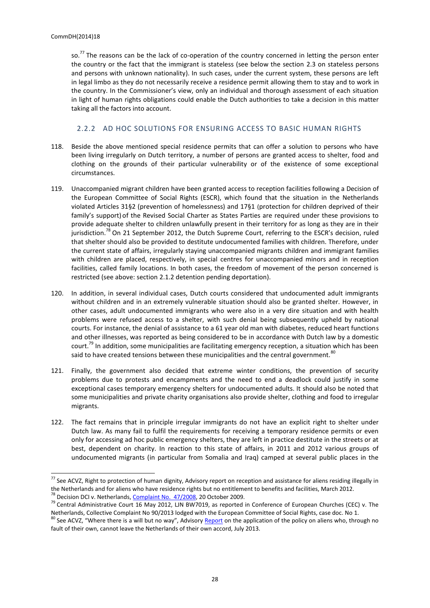so.<sup>77</sup> The reasons can be the lack of co-operation of the country concerned in letting the person enter the country or the fact that the immigrant is stateless (see below the section 2.3 on stateless persons and persons with unknown nationality). In such cases, under the current system, these persons are left in legal limbo as they do not necessarily receive a residence permit allowing them to stay and to work in the country. In the Commissioner's view, only an individual and thorough assessment of each situation in light of human rights obligations could enable the Dutch authorities to take a decision in this matter taking all the factors into account.

## 2.2.2 AD HOC SOLUTIONS FOR ENSURING ACCESS TO BASIC HUMAN RIGHTS

- <span id="page-27-0"></span>118. Beside the above mentioned special residence permits that can offer a solution to persons who have been living irregularly on Dutch territory, a number of persons are granted access to shelter, food and clothing on the grounds of their particular vulnerability or of the existence of some exceptional circumstances.
- 119. Unaccompanied migrant children have been granted access to reception facilities following a Decision of the European Committee of Social Rights (ESCR), which found that the situation in the Netherlands violated Articles 31§2 (prevention of homelessness) and 17§1 (protection for children deprived of their family's support) of the Revised Social Charter as States Parties are required under these provisions to provide adequate shelter to children unlawfully present in their territory for as long as they are in their jurisdiction.<sup>78</sup> On 21 September 2012, the Dutch Supreme Court, referring to the ESCR's decision, ruled that shelter should also be provided to destitute undocumented families with children. Therefore, under the current state of affairs, irregularly staying unaccompanied migrants children and immigrant families with children are placed, respectively, in special centres for unaccompanied minors and in reception facilities, called family locations. In both cases, the freedom of movement of the person concerned is restricted (see above: section 2.1.2 detention pending deportation).
- 120. In addition, in several individual cases, Dutch courts considered that undocumented adult immigrants without children and in an extremely vulnerable situation should also be granted shelter. However, in other cases, adult undocumented immigrants who were also in a very dire situation and with health problems were refused access to a shelter, with such denial being subsequently upheld by national courts. For instance, the denial of assistance to a 61 year old man with diabetes, reduced heart functions and other illnesses, was reported as being considered to be in accordance with Dutch law by a domestic court.<sup>79</sup> In addition, some municipalities are facilitating emergency reception, a situation which has been said to have created tensions between these municipalities and the central government. $80$
- 121. Finally, the government also decided that extreme winter conditions, the prevention of security problems due to protests and encampments and the need to end a deadlock could justify in some exceptional cases temporary emergency shelters for undocumented adults. It should also be noted that some municipalities and private charity organisations also provide shelter, clothing and food to irregular migrants.
- 122. The fact remains that in principle irregular immigrants do not have an explicit right to shelter under Dutch law. As many fail to fulfil the requirements for receiving a temporary residence permits or even only for accessing ad hoc public emergency shelters, they are left in practice destitute in the streets or at best, dependent on charity. In reaction to this state of affairs, in 2011 and 2012 various groups of undocumented migrants (in particular from Somalia and Iraq) camped at several public places in the

 $^{77}$  See ACVZ, Right to protection of human dignity, Advisory report on reception and assistance for aliens residing illegally in the Netherlands and for aliens who have residence rights but no entitlement to benefits and facilities, March 2012. <sup>78</sup> Decision DCI v. Netherlands, [Complaint No.](http://www.coe.int/t/dghl/monitoring/socialcharter/complaints/CC47Merits_en.pdf) 47/2008, 20 October 2009.

<sup>&</sup>lt;sup>79</sup> Central Administrative Court 16 May 2012, LIN BW7019, as reported in Conference of European Churches (CEC) v. The Netherlands, Collective Complaint No 90/2013 lodged with the European Committee of Social Rights, case doc. No 1.

<sup>&</sup>lt;sup>80</sup> See ACVZ, "Where there is a will but no way", Advisory [Report](http://www.acvz.org/publicaties/Advies38-ACVZwebSUM.pdf) on the application of the policy on aliens who, through no fault of their own, cannot leave the Netherlands of their own accord, July 2013.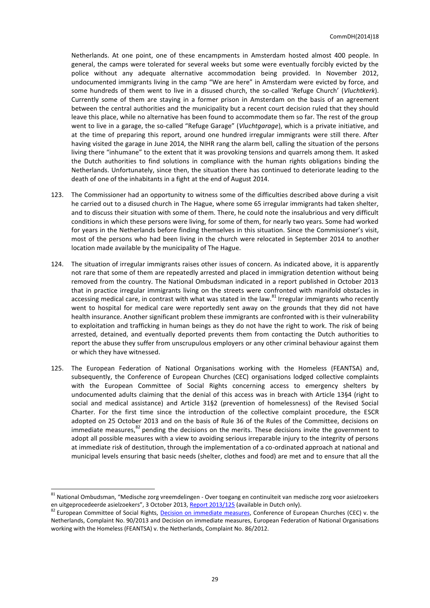Netherlands. At one point, one of these encampments in Amsterdam hosted almost 400 people. In general, the camps were tolerated for several weeks but some were eventually forcibly evicted by the police without any adequate alternative accommodation being provided. In November 2012, undocumented immigrants living in the camp "We are here" in Amsterdam were evicted by force, and some hundreds of them went to live in a disused church, the so-called 'Refuge Church' (*Vluchtkerk*). Currently some of them are staying in a former prison in Amsterdam on the basis of an agreement between the central authorities and the municipality but a recent court decision ruled that they should leave this place, while no alternative has been found to accommodate them so far. The rest of the group went to live in a garage, the so-called "Refuge Garage" (*Vluchtgarage*), which is a private initiative, and at the time of preparing this report, around one hundred irregular immigrants were still there. After having visited the garage in June 2014, the NIHR rang the alarm bell, calling the situation of the persons living there "inhumane" to the extent that it was provoking tensions and quarrels among them. It asked the Dutch authorities to find solutions in compliance with the human rights obligations binding the Netherlands. Unfortunately, since then, the situation there has continued to deteriorate leading to the death of one of the inhabitants in a fight at the end of August 2014.

- 123. The Commissioner had an opportunity to witness some of the difficulties described above during a visit he carried out to a disused church in The Hague, where some 65 irregular immigrants had taken shelter, and to discuss their situation with some of them. There, he could note the insalubrious and very difficult conditions in which these persons were living, for some of them, for nearly two years. Some had worked for years in the Netherlands before finding themselves in this situation. Since the Commissioner's visit, most of the persons who had been living in the church were relocated in September 2014 to another location made available by the municipality of The Hague.
- 124. The situation of irregular immigrants raises other issues of concern. As indicated above, it is apparently not rare that some of them are repeatedly arrested and placed in immigration detention without being removed from the country. The National Ombudsman indicated in a report published in October 2013 that in practice irregular immigrants living on the streets were confronted with manifold obstacles in accessing medical care, in contrast with what was stated in the law.<sup>81</sup> Irregular immigrants who recently went to hospital for medical care were reportedly sent away on the grounds that they did not have health insurance. Another significant problem these immigrants are confronted with is their vulnerability to exploitation and trafficking in human beings as they do not have the right to work. The risk of being arrested, detained, and eventually deported prevents them from contacting the Dutch authorities to report the abuse they suffer from unscrupulous employers or any other criminal behaviour against them or which they have witnessed.
- 125. The European Federation of National Organisations working with the Homeless (FEANTSA) and, subsequently, the Conference of European Churches (CEC) organisations lodged collective complaints with the European Committee of Social Rights concerning access to emergency shelters by undocumented adults claiming that the denial of this access was in breach with Article 13§4 (right to social and medical assistance) and Article 31§2 (prevention of homelessness) of the Revised Social Charter. For the first time since the introduction of the collective complaint procedure, the ESCR adopted on 25 October 2013 and on the basis of Rule 36 of the Rules of the Committee, decisions on immediate measures,<sup>82</sup> pending the decisions on the merits. These decisions invite the government to adopt all possible measures with a view to avoiding serious irreparable injury to the integrity of persons at immediate risk of destitution, through the implementation of a co-ordinated approach at national and municipal levels ensuring that basic needs (shelter, clothes and food) are met and to ensure that all the

<sup>81</sup> National Ombudsman, "Medische zorg vreemdelingen - Over toegang en continuïteit van medische zorg voor asielzoekers en uitgeprocedeerde asielzoekers", 3 October 2013, [Report 2013/125](http://www.nationaleombudsman.nl/sites/default/files/2013-125_rapport_medische_zorg_vreemdelingen_webversie_0.pdf) (available in Dutch only).

<sup>82</sup> European Committee of Social Rights, [Decision on immediate measures,](http://www.coe.int/T/DGHL/Monitoring/SocialCharter/Complaints/CC90DecisionImmediateMeasures_en.pdfhttp:/www.coe.int/t/dghl/monitoring/socialcharter/Complaints/CC90DecisionImmediateMeasures_en.pdf) Conference of European Churches [\(CEC\)](http://www.coe.int/t/dghl/monitoring/socialcharter/Complaints/CC90DecisionImmediateMeasures_en.pdf) v. the Netherlands, Complaint No. 90/2013 an[d Decision](http://www.coe.int/t/dghl/monitoring/socialcharter/Complaints/CC86DecisionImmediateMeasures_en.pdf) on immediate measures, European Federation of National Organisations working with the Homeless (FEANTSA) v. the Netherlands, Complaint No. 86/2012.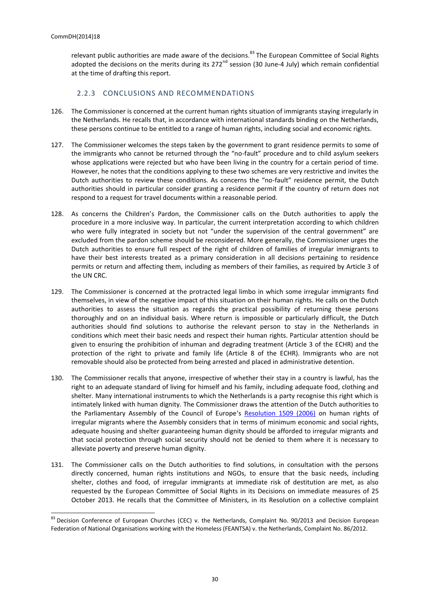relevant public authorities are made aware of the decisions.<sup>83</sup> The European Committee of Social Rights adopted the decisions on the merits during its 272<sup>nd</sup> session (30 June-4 July) which remain confidential at the time of drafting this report.

## 2.2.3 CONCLUSIONS AND RECOMMENDATIONS

- <span id="page-29-0"></span>126. The Commissioner is concerned at the current human rights situation of immigrants staying irregularly in the Netherlands. He recalls that, in accordance with international standards binding on the Netherlands, these persons continue to be entitled to a range of human rights, including social and economic rights.
- 127. The Commissioner welcomes the steps taken by the government to grant residence permits to some of the immigrants who cannot be returned through the "no-fault" procedure and to child asylum seekers whose applications were rejected but who have been living in the country for a certain period of time. However, he notes that the conditions applying to these two schemes are very restrictive and invites the Dutch authorities to review these conditions. As concerns the "no-fault" residence permit, the Dutch authorities should in particular consider granting a residence permit if the country of return does not respond to a request for travel documents within a reasonable period.
- 128. As concerns the Children's Pardon, the Commissioner calls on the Dutch authorities to apply the procedure in a more inclusive way. In particular, the current interpretation according to which children who were fully integrated in society but not "under the supervision of the central government" are excluded from the pardon scheme should be reconsidered. More generally, the Commissioner urges the Dutch authorities to ensure full respect of the right of children of families of irregular immigrants to have their best interests treated as a primary consideration in all decisions pertaining to residence permits or return and affecting them, including as members of their families, as required by Article 3 of the UN CRC.
- 129. The Commissioner is concerned at the protracted legal limbo in which some irregular immigrants find themselves, in view of the negative impact of this situation on their human rights. He calls on the Dutch authorities to assess the situation as regards the practical possibility of returning these persons thoroughly and on an individual basis. Where return is impossible or particularly difficult, the Dutch authorities should find solutions to authorise the relevant person to stay in the Netherlands in conditions which meet their basic needs and respect their human rights. Particular attention should be given to ensuring the prohibition of inhuman and degrading treatment (Article 3 of the ECHR) and the protection of the right to private and family life (Article 8 of the ECHR). Immigrants who are not removable should also be protected from being arrested and placed in administrative detention.
- 130. The Commissioner recalls that anyone, irrespective of whether their stay in a country is lawful, has the right to an adequate standard of living for himself and his family, including adequate food, clothing and shelter. Many international instruments to which the Netherlands is a party recognise this right which is intimately linked with human dignity. The Commissioner draws the attention of the Dutch authorities to the Parliamentary Assembly of the Council of Europe's [Resolution 1509 \(2006\)](http://assembly.coe.int/main.asp?Link=/documents/adoptedtext/ta06/eres1509.htm) on human rights of irregular migrants where the Assembly considers that in terms of minimum economic and social rights, adequate housing and shelter guaranteeing human dignity should be afforded to irregular migrants and that social protection through social security should not be denied to them where it is necessary to alleviate poverty and preserve human dignity.
- 131. The Commissioner calls on the Dutch authorities to find solutions, in consultation with the persons directly concerned, human rights institutions and NGOs, to ensure that the basic needs, including shelter, clothes and food, of irregular immigrants at immediate risk of destitution are met, as also requested by the European Committee of Social Rights in its Decisions on immediate measures of 25 October 2013. He recalls that the Committee of Ministers, in its Resolution on a collective complaint

<sup>83</sup> [Decision](http://www.coe.int/t/dghl/monitoring/socialcharter/Complaints/CC90DecisionImmediateMeasures_en.pdf) Conference of European Churches [\(CEC\)](http://www.coe.int/t/dghl/monitoring/socialcharter/Complaints/CC90DecisionImmediateMeasures_en.pdf) v. the Netherlands, Complaint No. 90/2013 and [Decision](http://www.coe.int/t/dghl/monitoring/socialcharter/Complaints/CC86DecisionImmediateMeasures_en.pdf) European Federation of National Organisations working with the Homeless (FEANTSA) v. the Netherlands, Complaint No. 86/2012.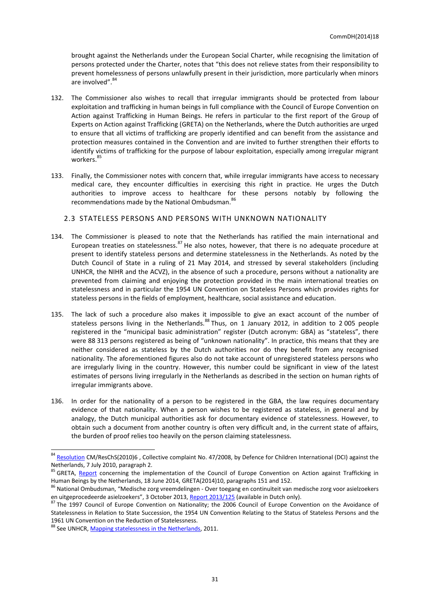brought against the Netherlands under the European Social Charter, while recognising the limitation of persons protected under the Charter, notes that "this does not relieve states from their responsibility to prevent homelessness of persons unlawfully present in their jurisdiction, more particularly when minors are involved".<sup>84</sup>

- 132. The Commissioner also wishes to recall that irregular immigrants should be protected from labour exploitation and trafficking in human beings in full compliance with the Council of Europe Convention on Action against Trafficking in Human Beings. He refers in particular to the first report of the Group of Experts on Action against Trafficking (GRETA) on the Netherlands, where the Dutch authorities are urged to ensure that all victims of trafficking are properly identified and can benefit from the assistance and protection measures contained in the Convention and are invited to further strengthen their efforts to identify victims of trafficking for the purpose of labour exploitation, especially among irregular migrant workers.<sup>85</sup>
- 133. Finally, the Commissioner notes with concern that, while irregular immigrants have access to necessary medical care, they encounter difficulties in exercising this right in practice. He urges the Dutch authorities to improve access to healthcare for these persons notably by following the recommendations made by the National Ombudsman. 86

## <span id="page-30-0"></span>2.3 STATELESS PERSONS AND PERSONS WITH UNKNOWN NATIONALITY

- 134. The Commissioner is pleased to note that the Netherlands has ratified the main international and European treaties on statelessness.<sup>87</sup> He also notes, however, that there is no adequate procedure at present to identify stateless persons and determine statelessness in the Netherlands. As noted by the Dutch Council of State in a ruling of 21 May 2014, and stressed by several stakeholders (including UNHCR, the NIHR and the ACVZ), in the absence of such a procedure, persons without a nationality are prevented from claiming and enjoying the protection provided in the main international treaties on statelessness and in particular the 1954 UN Convention on Stateless Persons which provides rights for stateless persons in the fields of employment, healthcare, social assistance and education.
- 135. The lack of such a procedure also makes it impossible to give an exact account of the number of stateless persons living in the Netherlands.<sup>88</sup> Thus, on 1 January 2012, in addition to 2 005 people registered in the "municipal basic administration" register (Dutch acronym: GBA) as "stateless", there were 88 313 persons registered as being of "unknown nationality". In practice, this means that they are neither considered as stateless by the Dutch authorities nor do they benefit from any recognised nationality. The aforementioned figures also do not take account of unregistered stateless persons who are irregularly living in the country. However, this number could be significant in view of the latest estimates of persons living irregularly in the Netherlands as described in the section on human rights of irregular immigrants above.
- 136. In order for the nationality of a person to be registered in the GBA, the law requires documentary evidence of that nationality. When a person wishes to be registered as stateless, in general and by analogy, the Dutch municipal authorities ask for documentary evidence of statelessness. However, to obtain such a document from another country is often very difficult and, in the current state of affairs, the burden of proof relies too heavily on the person claiming statelessness.

<sup>&</sup>lt;sup>84</sup> [Resolution](https://wcd.coe.int/ViewDoc.jsp?id=1651257&Site=COE) CM/ResChS(2010)6, Collective complaint No. 47/2008, by Defence for Children International (DCI) against the Netherlands, 7 July 2010, paragraph 2.

<sup>&</sup>lt;sup>85</sup> GRETA, [Report](http://www.coe.int/t/dghl/monitoring/trafficking/Docs/Reports/GRETA_2014_10_FGR_NLD_w_cmnts_en.pdf) concerning the implementation of the Council of Europe Convention on Action against Trafficking in Human Beings by the Netherlands, 18 June 2014, GRETA(2014)10, paragraphs 151 and 152.

<sup>&</sup>lt;sup>86</sup> National Ombudsman, "Medische zorg vreemdelingen - Over toegang en continuïteit van medische zorg voor asielzoekers en uitgeprocedeerde asielzoekers", 3 October 2013, [Report 2013/125](http://www.nationaleombudsman.nl/sites/default/files/2013-125_rapport_medische_zorg_vreemdelingen_webversie_0.pdf) (available in Dutch only).

<sup>87</sup> The 1997 Council of Europe Convention on Nationality; the 2006 Council of Europe Convention on the Avoidance of Statelessness in Relation to State Succession, the 1954 UN Convention Relating to the Status of Stateless Persons and the 1961 UN Convention on the Reduction of Statelessness.

<sup>88</sup> See UNHCR, [Mapping statelessness in the Netherlands,](http://www.refworld.org/docid/4eef65da2.html) 2011.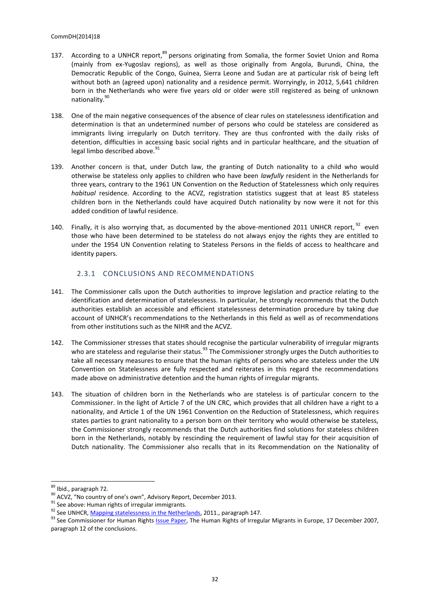- 137. According to a UNHCR report, <sup>89</sup> persons originating from Somalia, the former Soviet Union and Roma (mainly from ex-Yugoslav regions), as well as those originally from Angola, Burundi, China, the Democratic Republic of the Congo, Guinea, Sierra Leone and Sudan are at particular risk of being left without both an (agreed upon) nationality and a residence permit. Worryingly, in 2012, 5,641 children born in the Netherlands who were five years old or older were still registered as being of unknown nationality.<sup>90</sup>
- 138. One of the main negative consequences of the absence of clear rules on statelessness identification and determination is that an undetermined number of persons who could be stateless are considered as immigrants living irregularly on Dutch territory. They are thus confronted with the daily risks of detention, difficulties in accessing basic social rights and in particular healthcare, and the situation of legal limbo described above.<sup>9</sup>
- 139. Another concern is that, under Dutch law, the granting of Dutch nationality to a child who would otherwise be stateless only applies to children who have been *lawfully* resident in the Netherlands for three years, contrary to the 1961 UN Convention on the Reduction of Statelessness which only requires *habitual* residence. According to the ACVZ, registration statistics suggest that at least 85 stateless children born in the Netherlands could have acquired Dutch nationality by now were it not for this added condition of lawful residence.
- 140. Finally, it is also worrying that, as documented by the above-mentioned 2011 UNHCR report,  $^{92}$  even those who have been determined to be stateless do not always enjoy the rights they are entitled to under the 1954 UN Convention relating to Stateless Persons in the fields of access to healthcare and identity papers.

## 2.3.1 CONCLUSIONS AND RECOMMENDATIONS

- <span id="page-31-0"></span>141. The Commissioner calls upon the Dutch authorities to improve legislation and practice relating to the identification and determination of statelessness. In particular, he strongly recommends that the Dutch authorities establish an accessible and efficient statelessness determination procedure by taking due account of UNHCR's recommendations to the Netherlands in this field as well as of recommendations from other institutions such as the NIHR and the ACVZ.
- 142. The Commissioner stresses that states should recognise the particular vulnerability of irregular migrants who are stateless and regularise their status.<sup>93</sup> The Commissioner strongly urges the Dutch authorities to take all necessary measures to ensure that the human rights of persons who are stateless under the UN Convention on Statelessness are fully respected and reiterates in this regard the recommendations made above on administrative detention and the human rights of irregular migrants.
- 143. The situation of children born in the Netherlands who are stateless is of particular concern to the Commissioner. In the light of Article 7 of the UN CRC, which provides that all children have a right to a nationality, and Article 1 of the UN 1961 Convention on the Reduction of Statelessness, which requires states parties to grant nationality to a person born on their territory who would otherwise be stateless, the Commissioner strongly recommends that the Dutch authorities find solutions for stateless children born in the Netherlands, notably by rescinding the requirement of lawful stay for their acquisition of Dutch nationality. The Commissioner also recalls that in its Recommendation on the Nationality of

<sup>&</sup>lt;sup>89</sup> Ibid., paragraph 72.

<sup>90</sup> ACVZ, "No country of one's own", Advisory Report, December 2013.

 $91$  See above: Human rights of irregular immigrants.

<sup>92</sup> See UNHCR, [Mapping statelessness in the Netherlands,](http://www.refworld.org/docid/4eef65da2.html) 2011., paragraph 147.

<sup>&</sup>lt;sup>93</sup> See Commissioner for Human Rights *Issue Paper*, The Human Rights of Irregular Migrants in Europe, 17 December 2007, paragraph 12 of the conclusions.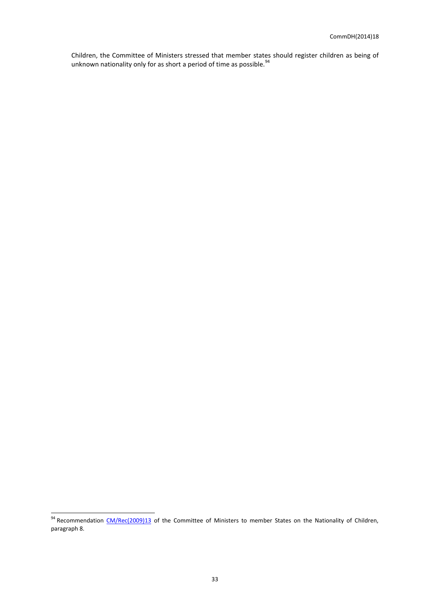Children, the Committee of Ministers stressed that member states should register children as being of unknown nationality only for as short a period of time as possible.  $94$ 

<sup>&</sup>lt;sup>94</sup> Recommendation [CM/Rec\(2009\)13](https://wcd.coe.int/ViewDoc.jsp?id=1563529) of the Committee of Ministers to member States on the Nationality of Children, paragraph 8.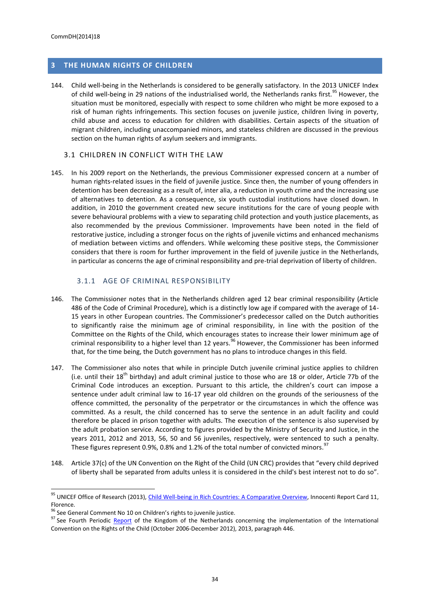## <span id="page-33-0"></span>**3 THE HUMAN RIGHTS OF CHILDREN**

144. Child well-being in the Netherlands is considered to be generally satisfactory. In the 2013 UNICEF Index of child well-being in 29 nations of the industrialised world, the Netherlands ranks first.<sup>95</sup> However, the situation must be monitored, especially with respect to some children who might be more exposed to a risk of human rights infringements. This section focuses on juvenile justice, children living in poverty, child abuse and access to education for children with disabilities. Certain aspects of the situation of migrant children, including unaccompanied minors, and stateless children are discussed in the previous section on the human rights of asylum seekers and immigrants.

#### <span id="page-33-1"></span>3.1 CHILDREN IN CONFLICT WITH THE LAW

145. In his 2009 report on the Netherlands, the previous Commissioner expressed concern at a number of human rights-related issues in the field of juvenile justice. Since then, the number of young offenders in detention has been decreasing as a result of, inter alia, a reduction in youth crime and the increasing use of alternatives to detention. As a consequence, six youth custodial institutions have closed down. In addition, in 2010 the government created new secure institutions for the care of young people with severe behavioural problems with a view to separating child protection and youth justice placements, as also recommended by the previous Commissioner. Improvements have been noted in the field of restorative justice, including a stronger focus on the rights of juvenile victims and enhanced mechanisms of mediation between victims and offenders. While welcoming these positive steps, the Commissioner considers that there is room for further improvement in the field of juvenile justice in the Netherlands, in particular as concerns the age of criminal responsibility and pre-trial deprivation of liberty of children.

#### 3.1.1 AGE OF CRIMINAL RESPONSIBILITY

- <span id="page-33-2"></span>146. The Commissioner notes that in the Netherlands children aged 12 bear criminal responsibility (Article 486 of the Code of Criminal Procedure), which is a distinctly low age if compared with the average of 14- 15 years in other European countries. The Commissioner's predecessor called on the Dutch authorities to significantly raise the minimum age of criminal responsibility, in line with the position of the Committee on the Rights of the Child, which encourages states to increase their lower minimum age of criminal responsibility to a higher level than 12 years.<sup>96</sup> However, the Commissioner has been informed that, for the time being, the Dutch government has no plans to introduce changes in this field.
- 147. The Commissioner also notes that while in principle Dutch juvenile criminal justice applies to children (i.e. until their  $18^{th}$  birthday) and adult criminal justice to those who are 18 or older, Article 77b of the Criminal Code introduces an exception. Pursuant to this article, the children's court can impose a sentence under adult criminal law to 16-17 year old children on the grounds of the seriousness of the offence committed, the personality of the perpetrator or the circumstances in which the offence was committed. As a result, the child concerned has to serve the sentence in an adult facility and could therefore be placed in prison together with adults. The execution of the sentence is also supervised by the adult probation service. According to figures provided by the Ministry of Security and Justice, in the years 2011, 2012 and 2013, 56, 50 and 56 juveniles, respectively, were sentenced to such a penalty. These figures represent 0.9%, 0.8% and 1.2% of the total number of convicted minors.<sup>97</sup>
- 148. Article 37(c) of the UN Convention on the Right of the Child (UN CRC) provides that "every child deprived of liberty shall be separated from adults unless it is considered in the child's best interest not to do so".

<sup>&</sup>lt;sup>95</sup> UNICEF Office of Research (2013), *Child Well-being in Rich Countries: A Comparative Overview*, Innocenti Report Card 11, Florence.

<sup>&</sup>lt;sup>96</sup> See General Comment No 10 on Children's rights to juvenile justice.

<sup>&</sup>lt;sup>97</sup> See Fourth Periodic [Report](http://www.rijksoverheid.nl/documenten-en-publicaties/rapporten/2013/11/25/fourth-periodic-report-of-the-kingdom-of-the-netherlands.html) of the Kingdom of the Netherlands concerning the implementation of the International Convention on the Rights of the Child (October 2006-December 2012), 2013, paragraph 446.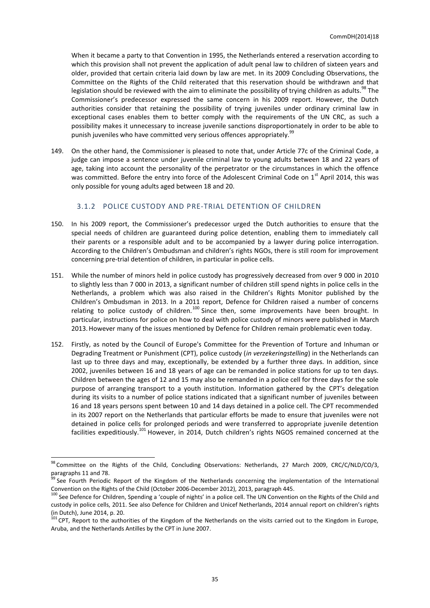When it became a party to that Convention in 1995, the Netherlands entered a reservation according to which this provision shall not prevent the application of adult penal law to children of sixteen years and older, provided that certain criteria laid down by law are met. In its 2009 Concluding Observations, the Committee on the Rights of the Child reiterated that this reservation should be withdrawn and that legislation should be reviewed with the aim to eliminate the possibility of trying children as adults.<sup>98</sup> The Commissioner's predecessor expressed the same concern in his 2009 report. However, the Dutch authorities consider that retaining the possibility of trying juveniles under ordinary criminal law in exceptional cases enables them to better comply with the requirements of the UN CRC, as such a possibility makes it unnecessary to increase juvenile sanctions disproportionately in order to be able to punish juveniles who have committed very serious offences appropriately.<sup>99</sup>

149. On the other hand, the Commissioner is pleased to note that, under Article 77c of the Criminal Code, a judge can impose a sentence under juvenile criminal law to young adults between 18 and 22 years of age, taking into account the personality of the perpetrator or the circumstances in which the offence was committed. Before the entry into force of the Adolescent Criminal Code on 1<sup>st</sup> April 2014, this was only possible for young adults aged between 18 and 20.

#### 3.1.2 POLICE CUSTODY AND PRE-TRIAL DETENTION OF CHILDREN

- <span id="page-34-0"></span>150. In his 2009 report, the Commissioner's predecessor urged the Dutch authorities to ensure that the special needs of children are guaranteed during police detention, enabling them to immediately call their parents or a responsible adult and to be accompanied by a lawyer during police interrogation. According to the Children's Ombudsman and children's rights NGOs, there is still room for improvement concerning pre-trial detention of children, in particular in police cells.
- 151. While the number of minors held in police custody has progressively decreased from over 9 000 in 2010 to slightly less than 7 000 in 2013, a significant number of children still spend nights in police cells in the Netherlands, a problem which was also raised in the Children's Rights Monitor published by the Children's Ombudsman in 2013. In a 2011 report, Defence for Children raised a number of concerns relating to police custody of children.<sup>100</sup> Since then, some improvements have been brought. In particular, instructions for police on how to deal with police custody of minors were published in March 2013.However many of the issues mentioned by Defence for Children remain problematic even today.
- 152. Firstly, as noted by the Council of Europe's Committee for the Prevention of Torture and Inhuman or Degrading Treatment or Punishment (CPT), police custody (*in verzekeringstelling*) in the Netherlands can last up to three days and may, exceptionally, be extended by a further three days. In addition, since 2002, juveniles between 16 and 18 years of age can be remanded in police stations for up to ten days. Children between the ages of 12 and 15 may also be remanded in a police cell for three days for the sole purpose of arranging transport to a youth institution. Information gathered by the CPT's delegation during its visits to a number of police stations indicated that a significant number of juveniles between 16 and 18 years persons spent between 10 and 14 days detained in a police cell. The CPT recommended in its 2007 report on the Netherlands that particular efforts be made to ensure that juveniles were not detained in police cells for prolonged periods and were transferred to appropriate juvenile detention facilities expeditiously.<sup>101</sup> However, in 2014, Dutch children's rights NGOS remained concerned at the

<sup>98</sup> Committee on the Rights of the Child, Concluding [Observations:](http://www2.ohchr.org/english/bodies/crc/docs/co/CRC-C-NLD-CO3.pdf) Netherlands, 27 March 2009, CRC/C/NLD/CO/3, paragraphs 11 and 78.

<sup>&</sup>lt;sup>99</sup> See Fourth Periodic [Report](http://www.rijksoverheid.nl/documenten-en-publicaties/rapporten/2013/11/25/fourth-periodic-report-of-the-kingdom-of-the-netherlands.html) of the Kingdom of the Netherlands concerning the implementation of the International Convention on the Rights of the Child (October 2006-December 2012), 2013, paragraph 445.

<sup>&</sup>lt;sup>100</sup> See Defence for Children, Spending a 'couple of nights' in a police cell. The UN Convention on the Rights of the Child and custody in police cells, 2011. See also Defence for Children and Unicef Netherlands, 2014 annual [report](http://www.defenceforchildren.nl/images/20/3474.pdf) on children's rights (in Dutch), June 2014, p. 20.

<sup>101</sup> CPT, [Report](http://www.cpt.coe.int/documents/nld/2008-02-inf-eng.htm) to the authorities of the Kingdom of the Netherlands on the visits carried out to the Kingdom in Europe, Aruba, and the Netherlands Antilles by the CPT in June 2007.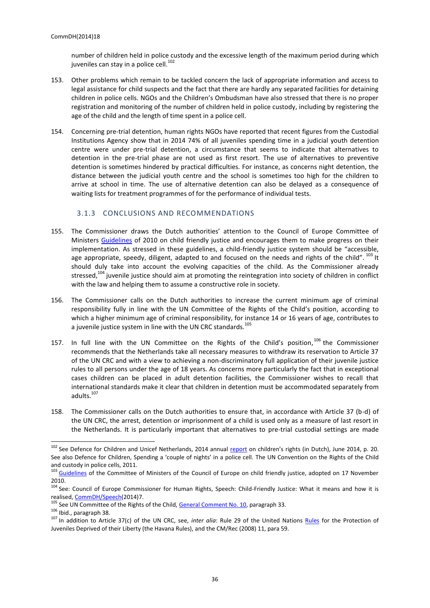number of children held in police custody and the excessive length of the maximum period during which juveniles can stay in a police cell.<sup>102</sup>

- 153. Other problems which remain to be tackled concern the lack of appropriate information and access to legal assistance for child suspects and the fact that there are hardly any separated facilities for detaining children in police cells. NGOs and the Children's Ombudsman have also stressed that there is no proper registration and monitoring of the number of children held in police custody, including by registering the age of the child and the length of time spent in a police cell.
- 154. Concerning pre-trial detention, human rights NGOs have reported that recent figures from the Custodial Institutions Agency show that in 2014 74% of all juveniles spending time in a judicial youth detention centre were under pre-trial detention, a circumstance that seems to indicate that alternatives to detention in the pre-trial phase are not used as first resort. The use of alternatives to preventive detention is sometimes hindered by practical difficulties. For instance, as concerns night detention, the distance between the judicial youth centre and the school is sometimes too high for the children to arrive at school in time. The use of alternative detention can also be delayed as a consequence of waiting lists for treatment programmes of for the performance of individual tests.

## 3.1.3 CONCLUSIONS AND RECOMMENDATIONS

- <span id="page-35-0"></span>155. The Commissioner draws the Dutch authorities' attention to the Council of Europe Committee of Ministers [Guidelines](https://wcd.coe.int/ViewDoc.jsp?Ref=CM/Del/Dec(2010)1098/10.2abc&Language=lanEnglish&Ver=app6&Site=CM&BackColorInternet=C3C3C3&BackColorIntranet=EDB021&BackColorLogged=F5D383) of 2010 on child friendly justice and encourages them to make progress on their implementation. As stressed in these guidelines, a child-friendly justice system should be "accessible, age appropriate, speedy, diligent, adapted to and focused on the needs and rights of the child".  $^{103}$  It should duly take into account the evolving capacities of the child. As the Commissioner already stressed, $104$  juvenile justice should aim at promoting the reintegration into society of children in conflict with the law and helping them to assume a constructive role in society.
- 156. The Commissioner calls on the Dutch authorities to increase the current minimum age of criminal responsibility fully in line with the UN Committee of the Rights of the Child's position, according to which a higher minimum age of criminal responsibility, for instance 14 or 16 years of age, contributes to a juvenile justice system in line with the UN CRC standards.<sup>105</sup>
- 157. In full line with the UN Committee on the Rights of the Child's position,<sup>106</sup> the Commissioner recommends that the Netherlands take all necessary measures to withdraw its reservation to Article 37 of the UN CRC and with a view to achieving a non-discriminatory full application of their juvenile justice rules to all persons under the age of 18 years. As concerns more particularly the fact that in exceptional cases children can be placed in adult detention facilities, the Commissioner wishes to recall that international standards make it clear that children in detention must be accommodated separately from adults.<sup>107</sup>
- 158. The Commissioner calls on the Dutch authorities to ensure that, in accordance with Article 37 (b-d) of the UN CRC, the arrest, detention or imprisonment of a child is used only as a measure of last resort in the Netherlands. It is particularly important that alternatives to pre-trial custodial settings are made

<sup>&</sup>lt;sup>102</sup> See Defence for Children and Unicef Netherlands, 2014 annual *report* on children's rights (in Dutch), June 2014, p. 20. See also Defence for Children, Spending a 'couple of nights' in a police cell. The UN Convention on the Rights of the Child and custody in police cells, 2011.

<sup>&</sup>lt;sup>103</sup> [Guidelines](https://wcd.coe.int/ViewDoc.jsp?Ref=CM/Del/Dec(2010)1098/10.2abc&Language=lanEnglish&Ver=app6&Site=CM&BackColorInternet=C3C3C3&BackColorIntranet=EDB021&BackColorLogged=F5D383) of the Committee of Ministers of the Council of Europe on child friendly justice, adopted on 17 November 2010.

<sup>&</sup>lt;sup>104</sup> See: Council of Europe Commissioner for Human Rights, Speech: Child-Friendly Justice: What it means and how it is realised[, CommDH/Speech\(](http://www.coe.int/en/web/commissioner/-/child-friendly-justice-what-it-means-and-how-it-is-realized#eLuVvXpKOf9y)2014)7.

<sup>105</sup> See UN Committee of the Rights of the Child, [General Comment No. 10,](http://www2.ohchr.org/english/bodies/crc/docs/CRC.C.GC.10.pdf) paragraph 33.

<sup>106</sup> Ibid., paragraph 38.

<sup>&</sup>lt;sup>107</sup> In addition to Article 37(c) of the UN CRC, see, *inter alia*: Rule 29 of the United Nations [Rules](http://www.unodc.org/pdf/criminal_justice/United_Nations_Rules_for_the_Protection_of_Juveniles_Deprived_of_their_Liberty.pdf) for the Protection of Juveniles Deprived of their Liberty (the Havana Rules), and the CM/Rec (2008) 11, para 59.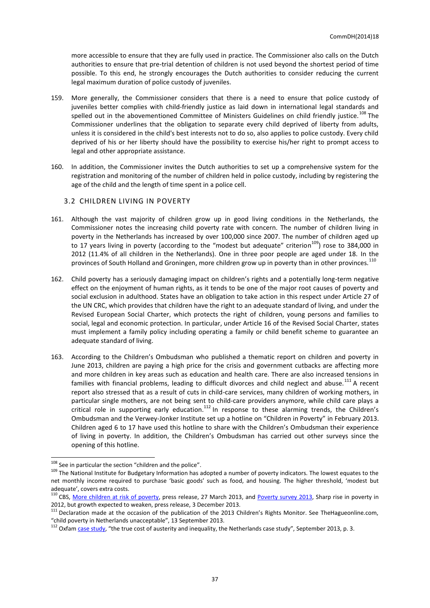more accessible to ensure that they are fully used in practice. The Commissioner also calls on the Dutch authorities to ensure that pre-trial detention of children is not used beyond the shortest period of time possible. To this end, he strongly encourages the Dutch authorities to consider reducing the current legal maximum duration of police custody of juveniles.

- 159. More generally, the Commissioner considers that there is a need to ensure that police custody of juveniles better complies with child-friendly justice as laid down in international legal standards and spelled out in the abovementioned Committee of Ministers Guidelines on child friendly justice.<sup>108</sup> The Commissioner underlines that the obligation to separate every child deprived of liberty from adults, unless it is considered in the child's best interests not to do so, also applies to police custody. Every child deprived of his or her liberty should have the possibility to exercise his/her right to prompt access to legal and other appropriate assistance.
- 160. In addition, the Commissioner invites the Dutch authorities to set up a comprehensive system for the registration and monitoring of the number of children held in police custody, including by registering the age of the child and the length of time spent in a police cell.

#### <span id="page-36-0"></span>3.2 CHILDREN LIVING IN POVERTY

- 161. Although the vast majority of children grow up in good living conditions in the Netherlands, the Commissioner notes the increasing child poverty rate with concern. The number of children living in poverty in the Netherlands has increased by over 100,000 since 2007. The number of children aged up to 17 years living in poverty (according to the "modest but adequate" criterion<sup>109</sup>) rose to 384,000 in 2012 (11.4% of all children in the Netherlands). One in three poor people are aged under 18. In the provinces of South Holland and Groningen, more children grow up in poverty than in other provinces.<sup>110</sup>
- 162. Child poverty has a seriously damaging impact on children's rights and a potentially long-term negative effect on the enjoyment of human rights, as it tends to be one of the major root causes of poverty and social exclusion in adulthood. States have an obligation to take action in this respect under Article 27 of the UN CRC, which provides that children have the right to an adequate standard of living, and under the Revised European Social Charter, which protects the right of children, young persons and families to social, legal and economic protection. In particular, under Article 16 of the Revised Social Charter, states must implement a family policy including operating a family or child benefit scheme to guarantee an adequate standard of living.
- 163. According to the Children's Ombudsman who published a thematic report on children and poverty in June 2013, children are paying a high price for the crisis and government cutbacks are affecting more and more children in key areas such as education and health care. There are also increased tensions in families with financial problems, leading to difficult divorces and child neglect and abuse.<sup>111</sup> A recent report also stressed that as a result of cuts in child-care services, many children of working mothers, in particular single mothers, are not being sent to child-care providers anymore, while child care plays a particular single members, are not seing sent to eind care providers anymore, this eind care plays a critical role in supporting early education.<sup>112</sup> In response to these alarming trends, the Children's Ombudsman and the Verwey-Jonker Institute set up a hotline on "Children in Poverty" in February 2013. Children aged 6 to 17 have used this hotline to share with the Children's Ombudsman their experience of living in poverty. In addition, the Children's Ombudsman has carried out other surveys since the opening of this hotline.

<sup>&</sup>lt;sup>108</sup> See in particular the section "children and the police".

<sup>&</sup>lt;sup>109</sup> The National Institute for Budgetary Information has adopted a number of poverty indicators. The lowest equates to the net monthly income required to purchase 'basic goods' such as food, and housing. The higher threshold, 'modest but adequate', covers extra costs.

<sup>110</sup> CBS, [More children at risk of poverty,](http://www.cbs.nl/en-GB/menu/themas/inkomen-bestedingen/publicaties/artikelen/archief/2013/2013-3805-wm.htm) press release, 27 March 2013, and [Poverty survey 2013,](http://www.cbs.nl/en-GB/menu/themas/inkomen-bestedingen/publicaties/artikelen/archief/2013/armoedesignalement-2013-sterke-groei-armoede-in-2012-pb.htm) Sharp rise in poverty in 2012, but growth expected to weaken, press release, 3 December 2013.

<sup>&</sup>lt;sup>111</sup> Declaration made at the occasion of the publication of the 2013 Children's Rights Monitor. See TheHagueonline.com, "child poverty in Netherlands unacceptable", 13 September 2013.

 $112$  Oxfam [case study](http://www.oxfam.org/sites/www.oxfam.org/files/cs-true-cost-austerity-inequality-netherlands-120913-en.pdf), "the true cost of austerity and inequality, the Netherlands case study", September 2013, p. 3.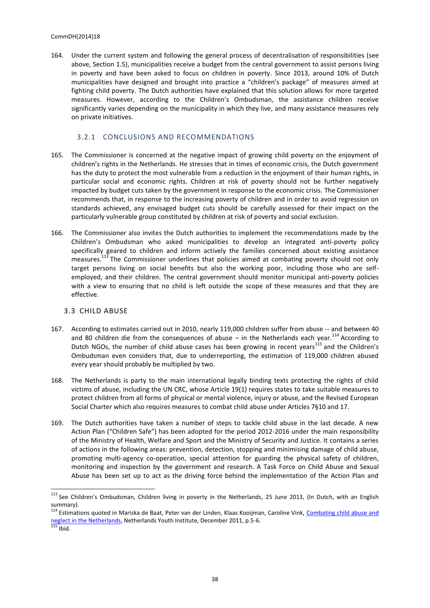164. Under the current system and following the general process of decentralisation of responsibilities (see above, Section 1.5), municipalities receive a budget from the central government to assist persons living in poverty and have been asked to focus on children in poverty. Since 2013, around 10% of Dutch municipalities have designed and brought into practice a "children's package" of measures aimed at fighting child poverty. The Dutch authorities have explained that this solution allows for more targeted measures. However, according to the Children's Ombudsman, the assistance children receive significantly varies depending on the municipality in which they live, and many assistance measures rely on private initiatives.

#### <span id="page-37-0"></span>3.2.1 CONCLUSIONS AND RECOMMENDATIONS

- 165. The Commissioner is concerned at the negative impact of growing child poverty on the enjoyment of children's rights in the Netherlands. He stresses that in times of economic crisis, the Dutch government has the duty to protect the most vulnerable from a reduction in the enjoyment of their human rights, in particular social and economic rights. Children at risk of poverty should not be further negatively impacted by budget cuts taken by the government in response to the economic crisis. The Commissioner recommends that, in response to the increasing poverty of children and in order to avoid regression on standards achieved, any envisaged budget cuts should be carefully assessed for their impact on the particularly vulnerable group constituted by children at risk of poverty and social exclusion.
- 166. The Commissioner also invites the Dutch authorities to implement the recommendations made by the Children's Ombudsman who asked municipalities to develop an integrated anti-poverty policy specifically geared to children and inform actively the families concerned about existing assistance measures.<sup>113</sup> The Commissioner underlines that policies aimed at combating poverty should not only target persons living on social benefits but also the working poor, including those who are selfemployed, and their children. The central government should monitor municipal anti-poverty policies with a view to ensuring that no child is left outside the scope of these measures and that they are effective.

#### <span id="page-37-1"></span>3.3 CHILD ABUSE

- 167. According to estimates carried out in 2010, nearly 119,000 children suffer from abuse -- and between 40 and 80 children die from the consequences of abuse – in the Netherlands each year.<sup>114</sup> According to Dutch NGOs, the number of child abuse cases has been growing in recent years<sup>115</sup> and the Children's Ombudsman even considers that, due to underreporting, the estimation of 119,000 children abused every year should probably be multiplied by two.
- 168. The Netherlands is party to the main international legally binding texts protecting the rights of child victims of abuse, including the UN CRC, whose Article 19(1) requires states to take suitable measures to protect children from all forms of physical or mental violence, injury or abuse, and the Revised European Social Charter which also requires measures to combat child abuse under Articles 7§10 and 17.
- 169. The Dutch authorities have taken a number of steps to tackle child abuse in the last decade. A new Action Plan ("Children Safe") has been adopted for the period 2012-2016 under the main responsibility of the Ministry of Health, Welfare and Sport and the Ministry of Security and Justice. It contains a series of actions in the following areas: prevention, detection, stopping and minimising damage of child abuse, promoting multi-agency co-operation, special attention for guarding the physical safety of children, monitoring and inspection by the government and research. A Task Force on Child Abuse and Sexual Abuse has been set up to act as the driving force behind the implementation of the Action Plan and

<sup>&</sup>lt;sup>113</sup> See Children's Ombudsman, Children living in poverty in the Netherlands, 25 June 2013, (In Dutch, with an English summary).

<sup>114</sup> Estimations quoted in Mariska de Baat, Peter van der Linden, Klaas Kooijman, Caroline Vink, Combating child abuse and [neglect in the Netherlands,](http://www.youthpolicy.nl/yp/downloadsyp/Daphne-report-The-Netherlands.pdf) Netherlands Youth Institute, December 2011, p.5-6.

 $115$  Ibid.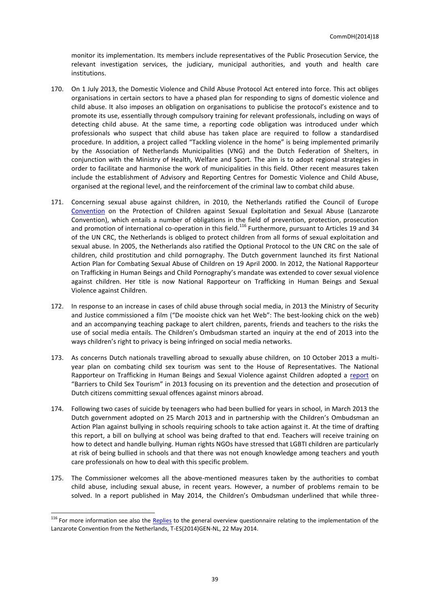monitor its implementation. Its members include representatives of the Public Prosecution Service, the relevant investigation services, the judiciary, municipal authorities, and youth and health care institutions.

- 170. On 1 July 2013, the Domestic Violence and Child Abuse Protocol Act entered into force. This act obliges organisations in certain sectors to have a phased plan for responding to signs of domestic violence and child abuse. It also imposes an obligation on organisations to publicise the protocol's existence and to promote its use, essentially through compulsory training for relevant professionals, including on ways of detecting child abuse. At the same time, a reporting code obligation was introduced under which professionals who suspect that child abuse has taken place are required to follow a standardised procedure. In addition, a project called "Tackling violence in the home" is being implemented primarily by the Association of Netherlands Municipalities (VNG) and the Dutch Federation of Shelters, in conjunction with the Ministry of Health, Welfare and Sport. The aim is to adopt regional strategies in order to facilitate and harmonise the work of municipalities in this field. Other recent measures taken include the establishment of Advisory and Reporting Centres for Domestic Violence and Child Abuse, organised at the regional level, and the reinforcement of the criminal law to combat child abuse.
- 171. Concerning sexual abuse against children, in 2010, the Netherlands ratified the Council of Europe [Convention](http://www.coe.int/t/dghl/standardsetting/children/default_en.asp) on the Protection of Children against Sexual Exploitation and Sexual Abuse (Lanzarote Convention), which entails a number of obligations in the field of prevention, protection, prosecution and promotion of international co-operation in this field.<sup>116</sup> Furthermore, pursuant to Articles 19 and 34 of the UN CRC, the Netherlands is obliged to protect children from all forms of sexual exploitation and sexual abuse. In 2005, the Netherlands also ratified the Optional Protocol to the UN CRC on the sale of children, child prostitution and child pornography. The Dutch government launched its first National Action Plan for Combating Sexual Abuse of Children on 19 April 2000. In 2012, the National Rapporteur on Trafficking in Human Beings and Child Pornography's mandate was extended to cover sexual violence against children. Her title is now National Rapporteur on Trafficking in Human Beings and Sexual Violence against Children.
- 172. In response to an increase in cases of child abuse through social media, in 2013 the Ministry of Security and Justice commissioned a film ("De mooiste chick van het Web": The best-looking chick on the web) and an accompanying teaching package to alert children, parents, friends and teachers to the risks the use of social media entails. The Children's Ombudsman started an inquiry at the end of 2013 into the ways children's right to privacy is being infringed on social media networks.
- 173. As concerns Dutch nationals travelling abroad to sexually abuse children, on 10 October 2013 a multiyear plan on combating child sex tourism was sent to the House of Representatives. The National Rapporteur on Trafficking in Human Beings and Sexual Violence against Children adopted a [report](http://www.huiselijkgeweld.nl/english/barriers-against-child-sex-tourism) on "Barriers to Child Sex Tourism" in 2013 focusing on its prevention and the detection and prosecution of Dutch citizens committing sexual offences against minors abroad.
- 174. Following two cases of suicide by teenagers who had been bullied for years in school, in March 2013 the Dutch government adopted on 25 March 2013 and in partnership with the Children's Ombudsman an Action Plan against bullying in schools requiring schools to take action against it. At the time of drafting this report, a bill on bullying at school was being drafted to that end. Teachers will receive training on how to detect and handle bullying. Human rights NGOs have stressed that LGBTI children are particularly at risk of being bullied in schools and that there was not enough knowledge among teachers and youth care professionals on how to deal with this specific problem.
- 175. The Commissioner welcomes all the above-mentioned measures taken by the authorities to combat child abuse, including sexual abuse, in recent years. However, a number of problems remain to be solved. In a report published in May 2014, the Children's Ombudsman underlined that while three-

<sup>&</sup>lt;sup>116</sup> For more information see also the [Replies](http://www.coe.int/t/dghl/standardsetting/children/Netherlands_GeneralQuestionnaire_en.pdf) to the general overview questionnaire relating to the implementation of the Lanzarote Convention from the Netherlands, T-ES(2014)GEN-NL, 22 May 2014.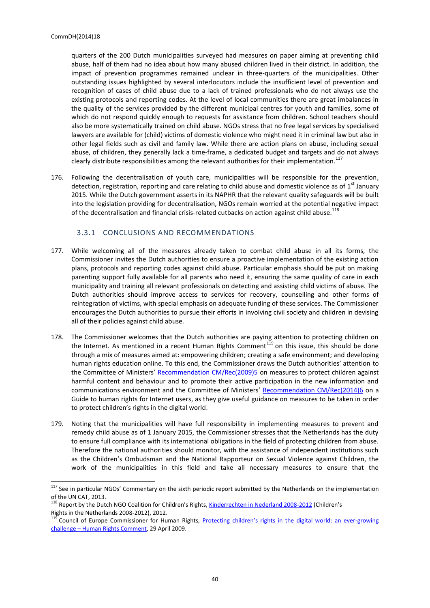quarters of the 200 Dutch municipalities surveyed had measures on paper aiming at preventing child abuse, half of them had no idea about how many abused children lived in their district. In addition, the impact of prevention programmes remained unclear in three-quarters of the municipalities. Other outstanding issues highlighted by several interlocutors include the insufficient level of prevention and recognition of cases of child abuse due to a lack of trained professionals who do not always use the existing protocols and reporting codes. At the level of local communities there are great imbalances in the quality of the services provided by the different municipal centres for youth and families, some of which do not respond quickly enough to requests for assistance from children. School teachers should also be more systematically trained on child abuse. NGOs stress that no free legal services by specialised lawyers are available for (child) victims of domestic violence who might need it in criminal law but also in other legal fields such as civil and family law. While there are action plans on abuse, including sexual abuse, of children, they generally lack a time-frame, a dedicated budget and targets and do not always clearly distribute responsibilities among the relevant authorities for their implementation.<sup>117</sup>

176. Following the decentralisation of youth care, municipalities will be responsible for the prevention, detection, registration, reporting and care relating to child abuse and domestic violence as of  $1<sup>st</sup>$  January 2015. While the Dutch government asserts in its NAPHR that the relevant quality safeguards will be built into the legislation providing for decentralisation, NGOs remain worried at the potential negative impact of the decentralisation and financial crisis-related cutbacks on action against child abuse.<sup>11</sup>

#### 3.3.1 CONCLUSIONS AND RECOMMENDATIONS

- <span id="page-39-0"></span>177. While welcoming all of the measures already taken to combat child abuse in all its forms, the Commissioner invites the Dutch authorities to ensure a proactive implementation of the existing action plans, protocols and reporting codes against child abuse. Particular emphasis should be put on making parenting support fully available for all parents who need it, ensuring the same quality of care in each municipality and training all relevant professionals on detecting and assisting child victims of abuse. The Dutch authorities should improve access to services for recovery, counselling and other forms of reintegration of victims, with special emphasis on adequate funding of these services. The Commissioner encourages the Dutch authorities to pursue their efforts in involving civil society and children in devising all of their policies against child abuse.
- 178. The Commissioner welcomes that the Dutch authorities are paying attention to protecting children on the Internet. As mentioned in a recent Human Rights Comment<sup>119</sup> on this issue, this should be done through a mix of measures aimed at: empowering children; creating a safe environment; and developing human rights education online. To this end, the Commissioner draws the Dutch authorities' attention to the Committee of Ministers' [Recommendation CM/Rec\(2009\)5](https://wcd.coe.int/ViewDoc.jsp?id=1470045&Site=CM) on measures to protect children against harmful content and behaviour and to promote their active participation in the new information and communications environment and the Committee of Ministers' [Recommendation CM/Rec\(2014\)6](https://wcd.coe.int/ViewDoc.jsp?id=2184807&Site=CM) on a Guide to human rights for Internet users, as they give useful guidance on measures to be taken in order to protect children's rights in the digital world.
- 179. Noting that the municipalities will have full responsibility in implementing measures to prevent and remedy child abuse as of 1 January 2015, the Commissioner stresses that the Netherlands has the duty to ensure full compliance with its international obligations in the field of protecting children from abuse. Therefore the national authorities should monitor, with the assistance of independent institutions such as the Children's Ombudsman and the National Rapporteur on Sexual Violence against Children, the work of the municipalities in this field and take all necessary measures to ensure that the

 $117$  See in particular NGOs' Commentary on the sixth periodic report submitted by the Netherlands on the implementation of the UN CAT, 2013.

<sup>&</sup>lt;sup>118</sup> Report by the Dutch NGO Coalition for Children's Rights, **[Kinderrechten in Nederland 2008-2012](http://www.kinderrechten.nl/p/13/77/ms6-44)** (Children's Rights in the Netherlands 2008-2012), 2012.

<sup>&</sup>lt;sup>119</sup> Council of Europe Commissioner for Human Rights, **[Protecting children's rights in the digital world: an ever](http://humanrightscomment.org/2014/04/29/protecting-childrens-rights-in-the-digital-world-an-ever-growing-challenge/)-growing** challenge – [Human Rights Comment,](http://humanrightscomment.org/2014/04/29/protecting-childrens-rights-in-the-digital-world-an-ever-growing-challenge/) 29 April 2009.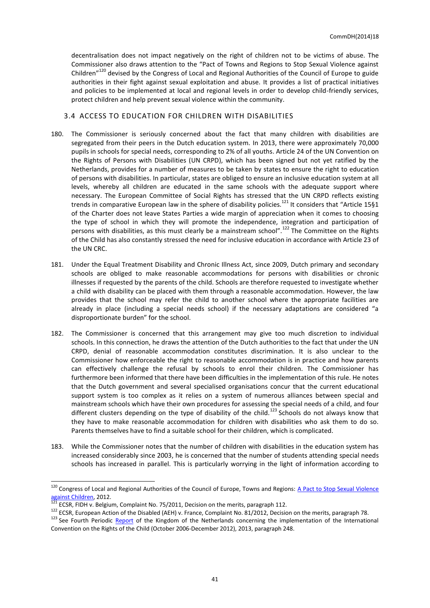decentralisation does not impact negatively on the right of children not to be victims of abuse. The Commissioner also draws attention to the "Pact of Towns and Regions to Stop Sexual Violence against Children"<sup>120</sup> devised by the Congress of Local and Regional Authorities of the Council of Europe to guide authorities in their fight against sexual exploitation and abuse. It provides a list of practical initiatives and policies to be implemented at local and regional levels in order to develop child-friendly services, protect children and help prevent sexual violence within the community.

## <span id="page-40-0"></span>3.4 ACCESS TO EDUCATION FOR CHILDREN WITH DISABILITIES

- 180. The Commissioner is seriously concerned about the fact that many children with disabilities are segregated from their peers in the Dutch education system. In 2013, there were approximately 70,000 pupils in schools for special needs, corresponding to 2% of all youths. Article 24 of the UN Convention on the Rights of Persons with Disabilities (UN CRPD), which has been signed but not yet ratified by the Netherlands, provides for a number of measures to be taken by states to ensure the right to education of persons with disabilities. In particular, states are obliged to ensure an inclusive education system at all levels, whereby all children are educated in the same schools with the adequate support where necessary. The European Committee of Social Rights has stressed that the UN CRPD reflects existing trends in comparative European law in the sphere of disability policies.<sup>121</sup> It considers that "Article 15§1 of the Charter does not leave States Parties a wide margin of appreciation when it comes to choosing the type of school in which they will promote the independence, integration and participation of persons with disabilities, as this must clearly be a mainstream school".<sup>122</sup> The Committee on the Rights of the Child has also constantly stressed the need for inclusive education in accordance with Article 23 of the UN CRC.
- 181. Under the Equal Treatment Disability and Chronic Illness Act, since 2009, Dutch primary and secondary schools are obliged to make reasonable accommodations for persons with disabilities or chronic illnesses if requested by the parents of the child. Schools are therefore requested to investigate whether a child with disability can be placed with them through a reasonable accommodation. However, the law provides that the school may refer the child to another school where the appropriate facilities are already in place (including a special needs school) if the necessary adaptations are considered "a disproportionate burden" for the school.
- 182. The Commissioner is concerned that this arrangement may give too much discretion to individual schools. In this connection, he draws the attention of the Dutch authorities to the fact that under the UN CRPD, denial of reasonable accommodation constitutes discrimination. It is also unclear to the Commissioner how enforceable the right to reasonable accommodation is in practice and how parents can effectively challenge the refusal by schools to enrol their children. The Commissioner has furthermore been informed that there have been difficulties in the implementation of this rule. He notes that the Dutch government and several specialised organisations concur that the current educational support system is too complex as it relies on a system of numerous alliances between special and mainstream schools which have their own procedures for assessing the special needs of a child, and four different clusters depending on the type of disability of the child.<sup>123</sup> Schools do not always know that they have to make reasonable accommodation for children with disabilities who ask them to do so. Parents themselves have to find a suitable school for their children, which is complicated.
- 183. While the Commissioner notes that the number of children with disabilities in the education system has increased considerably since 2003, he is concerned that the number of students attending special needs schools has increased in parallel. This is particularly worrying in the light of information according to

<sup>&</sup>lt;sup>120</sup> Congress of Local and Regional Authorities of the Council of Europe, Towns and Regions: <u>A Pact to Stop Sexual Violence</u> [against Children,](http://www.coe.int/t/congress/files/topics/oneinfive/pact_en.asp) 2012.

 $121$  ECSR, FIDH v. Belgium, Complaint No. 75/2011, Decision on the merits, paragraph 112.

<sup>&</sup>lt;sup>122</sup> ECSR, European Action of the Disabled (AEH) v. France, Complaint No. 81/2012, Decision on the merits, paragraph 78.

<sup>&</sup>lt;sup>123</sup> See Fourth Periodic [Report](http://www.rijksoverheid.nl/documenten-en-publicaties/rapporten/2013/11/25/fourth-periodic-report-of-the-kingdom-of-the-netherlands.html) of the Kingdom of the Netherlands concerning the implementation of the International Convention on the Rights of the Child (October 2006-December 2012), 2013, paragraph 248.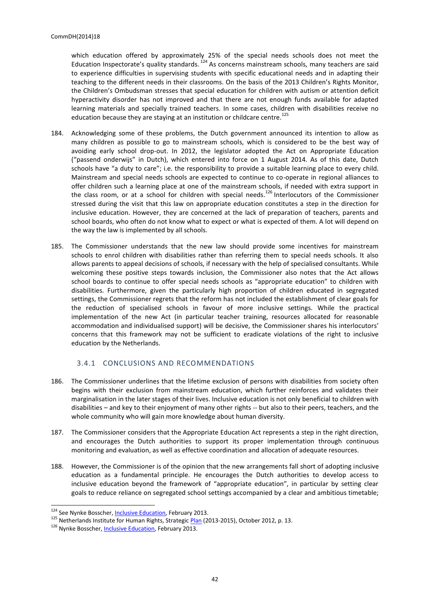which education offered by approximately 25% of the special needs schools does not meet the Education Inspectorate's quality standards. <sup>124</sup> As concerns mainstream schools, many teachers are said to experience difficulties in supervising students with specific educational needs and in adapting their teaching to the different needs in their classrooms. On the basis of the 2013 Children's Rights Monitor, the Children's Ombudsman stresses that special education for children with autism or attention deficit hyperactivity disorder has not improved and that there are not enough funds available for adapted learning materials and specially trained teachers. In some cases, children with disabilities receive no education because they are staying at an institution or childcare centre.<sup>125</sup>

- 184. Acknowledging some of these problems, the Dutch government announced its intention to allow as many children as possible to go to mainstream schools, which is considered to be the best way of avoiding early school drop-out. In 2012, the legislator adopted the Act on Appropriate Education ("passend onderwijs" in Dutch), which entered into force on 1 August 2014. As of this date, Dutch schools have "a duty to care"; i.e. the responsibility to provide a suitable learning place to every child. Mainstream and special needs schools are expected to continue to co-operate in regional alliances to offer children such a learning place at one of the mainstream schools, if needed with extra support in the class room, or at a school for children with special needs.<sup>126</sup> Interlocutors of the Commissioner stressed during the visit that this law on appropriate education constitutes a step in the direction for inclusive education. However, they are concerned at the lack of preparation of teachers, parents and school boards, who often do not know what to expect or what is expected of them. A lot will depend on the way the law is implemented by all schools.
- 185. The Commissioner understands that the new law should provide some incentives for mainstream schools to enrol children with disabilities rather than referring them to special needs schools. It also allows parents to appeal decisions of schools, if necessary with the help of specialised consultants. While welcoming these positive steps towards inclusion, the Commissioner also notes that the Act allows school boards to continue to offer special needs schools as "appropriate education" to children with disabilities. Furthermore, given the particularly high proportion of children educated in segregated settings, the Commissioner regrets that the reform has not included the establishment of clear goals for the reduction of specialised schools in favour of more inclusive settings. While the practical implementation of the new Act (in particular teacher training, resources allocated for reasonable accommodation and individualised support) will be decisive, the Commissioner shares his interlocutors' concerns that this framework may not be sufficient to eradicate violations of the right to inclusive education by the Netherlands.

## 3.4.1 CONCLUSIONS AND RECOMMENDATIONS

- <span id="page-41-0"></span>186. The Commissioner underlines that the lifetime exclusion of persons with disabilities from society often begins with their exclusion from mainstream education, which further reinforces and validates their marginalisation in the later stages of their lives. Inclusive education is not only beneficial to children with disabilities – and key to their enjoyment of many other rights -- but also to their peers, teachers, and the whole community who will gain more knowledge about human diversity.
- 187. The Commissioner considers that the Appropriate Education Act represents a step in the right direction, and encourages the Dutch authorities to support its proper implementation through continuous monitoring and evaluation, as well as effective coordination and allocation of adequate resources.
- 188. However, the Commissioner is of the opinion that the new arrangements fall short of adopting inclusive education as a fundamental principle. He encourages the Dutch authorities to develop access to inclusive education beyond the framework of "appropriate education", in particular by setting clear goals to reduce reliance on segregated school settings accompanied by a clear and ambitious timetable;

<sup>&</sup>lt;sup>124</sup> See Nynke Bosscher, *Inclusive Education*, February 2013.

<sup>125</sup> Netherlands Institute for Human Rights, Strategic [Plan](http://mensenrechten.nl/sites/default/files/2013-08-23_Strategic_Plan-English.pdf) (2013-2015), October 2012, p. 13.

<sup>126</sup> Nynke Bosscher, *Inclusive Education*, February 2013.